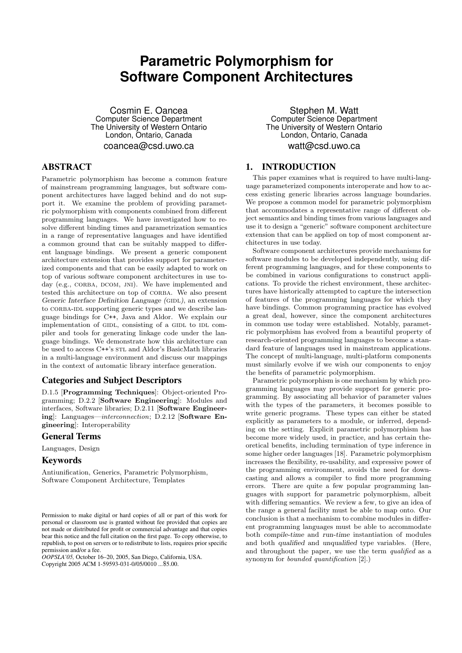# **Parametric Polymorphism for Software Component Architectures**

Cosmin E. Oancea Computer Science Department The University of Western Ontario London, Ontario, Canada coancea@csd.uwo.ca

# ABSTRACT

Parametric polymorphism has become a common feature of mainstream programming languages, but software component architectures have lagged behind and do not support it. We examine the problem of providing parametric polymorphism with components combined from different programming languages. We have investigated how to resolve different binding times and parametrization semantics in a range of representative languages and have identified a common ground that can be suitably mapped to different language bindings. We present a generic component architecture extension that provides support for parameterized components and that can be easily adapted to work on top of various software component architectures in use today (e.g., CORBA, DCOM, JNI). We have implemented and tested this architecture on top of CORBA. We also present Generic Interface Definition Language (GIDL), an extension to CORBA-IDL supporting generic types and we describe language bindings for C++, Java and Aldor. We explain our implementation of GIDL, consisting of a GIDL to IDL compiler and tools for generating linkage code under the language bindings. We demonstrate how this architecture can be used to access C++'s  ${\hbox{\footnotesize\rm STL}}$  and Aldor's BasicMath libraries in a multi-language environment and discuss our mappings in the context of automatic library interface generation.

### Categories and Subject Descriptors

D.1.5 [Programming Techniques]: Object-oriented Programming; D.2.2 [Software Engineering]: Modules and interfaces, Software libraries; D.2.11 [Software Engineering]: Languages—interconnection; D.2.12 [Software Engineering]: Interoperability

#### General Terms

Languages, Design

#### Keywords

Antiunification, Generics, Parametric Polymorphism, Software Component Architecture, Templates

*OOPSLA'05,* October 16–20, 2005, San Diego, California, USA. Copyright 2005 ACM 1-59593-031-0/05/0010 ...\$5.00.

Stephen M. Watt Computer Science Department The University of Western Ontario London, Ontario, Canada watt@csd.uwo.ca

# 1. INTRODUCTION

This paper examines what is required to have multi-language parameterized components interoperate and how to access existing generic libraries across language boundaries. We propose a common model for parametric polymorphism that accommodates a representative range of different object semantics and binding times from various languages and use it to design a "generic" software component architecture extension that can be applied on top of most component architectures in use today.

Software component architectures provide mechanisms for software modules to be developed independently, using different programming languages, and for these components to be combined in various configurations to construct applications. To provide the richest environment, these architectures have historically attempted to capture the intersection of features of the programming languages for which they have bindings. Common programming practice has evolved a great deal, however, since the component architectures in common use today were established. Notably, parametric polymorphism has evolved from a beautiful property of research-oriented programming languages to become a standard feature of languages used in mainstream applications. The concept of multi-language, multi-platform components must similarly evolve if we wish our components to enjoy the benefits of parametric polymorphism.

Parametric polymorphism is one mechanism by which programming languages may provide support for generic programming. By associating all behavior of parameter values with the types of the parameters, it becomes possible to write generic programs. These types can either be stated explicitly as parameters to a module, or inferred, depending on the setting. Explicit parametric polymorphism has become more widely used, in practice, and has certain theoretical benefits, including termination of type inference in some higher order languages [18]. Parametric polymorphism increases the flexibility, re-usability, and expressive power of the programming environment, avoids the need for downcasting and allows a compiler to find more programming errors. There are quite a few popular programming languages with support for parametric polymorphism, albeit with differing semantics. We review a few, to give an idea of the range a general facility must be able to map onto. Our conclusion is that a mechanism to combine modules in different programming languages must be able to accommodate both compile-time and run-time instantiation of modules and both qualified and unqualified type variables. (Here, and throughout the paper, we use the term qualified as a synonym for bounded quantification [2].)

Permission to make digital or hard copies of all or part of this work for personal or classroom use is granted without fee provided that copies are not made or distributed for profit or commercial advantage and that copies bear this notice and the full citation on the first page. To copy otherwise, to republish, to post on servers or to redistribute to lists, requires prior specific permission and/or a fee.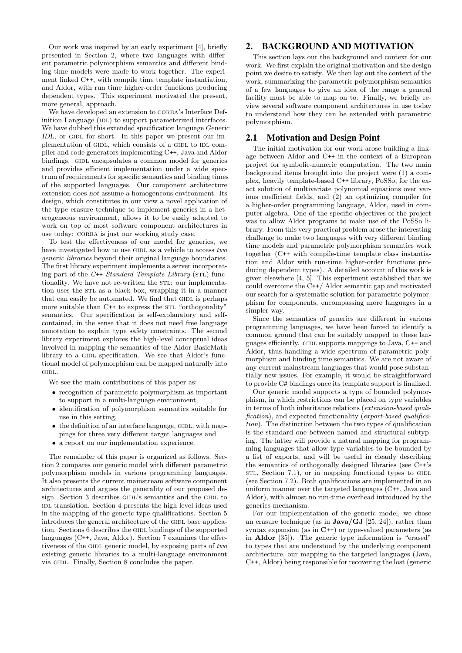Our work was inspired by an early experiment [4], briefly presented in Section 2, where two languages with different parametric polymorphism semantics and different binding time models were made to work together. The experiment linked C++, with compile time template instantiation, and Aldor, with run time higher-order functions producing dependent types. This experiment motivated the present, more general, approach.

We have developed an extension to CORBA's Interface Definition Language (IDL) to support parameterized interfaces. We have dubbed this extended specification language Generic IDL, or GIDL for short. In this paper we present our implementation of GIDL, which consists of a GIDL to IDL compiler and code generators implementing C++, Java and Aldor bindings. GIDL encapsulates a common model for generics and provides efficient implementation under a wide spectrum of requirements for specific semantics and binding times of the supported languages. Our component architecture extension does not assume a homogeneous environment. Its design, which constitutes in our view a novel application of the type erasure technique to implement generics in a heterogeneous environment, allows it to be easily adapted to work on top of most software component architectures in use today: CORBA is just our working study case.

To test the effectiveness of our model for generics, we have investigated how to use GIDL as a vehicle to access two generic libraries beyond their original language boundaries. The first library experiment implements a server incorporating part of the  $C^{++}$  *Standard Template Library* (STL) functionality. We have not re-written the STL: our implementation uses the STL as a black box, wrapping it in a manner that can easily be automated. We find that GIDL is perhaps more suitable than  $C++$  to express the  $STL$  "orthogonality" semantics. Our specification is self-explanatory and selfcontained, in the sense that it does not need free language annotation to explain type safety constraints. The second library experiment explores the high-level conceptual ideas involved in mapping the semantics of the Aldor BasicMath library to a GIDL specification. We see that Aldor's functional model of polymorphism can be mapped naturally into GIDL.

We see the main contributions of this paper as:

- recognition of parametric polymorphism as important to support in a multi-language environment,
- identification of polymorphism semantics suitable for use in this setting,
- $\bullet$  the definition of an interface language, GIDL, with mappings for three very different target languages and
- a report on our implementation experience.

The remainder of this paper is organized as follows. Section 2 compares our generic model with different parametric polymorphism models in various programming languages. It also presents the current mainstream software component architectures and argues the generality of our proposed design. Section 3 describes GIDL's semantics and the GIDL to IDL translation. Section 4 presents the high level ideas used in the mapping of the generic type qualifications. Section 5 introduces the general architecture of the GIDL base application. Sections 6 describes the GIDL bindings of the supported languages (C++, Java, Aldor). Section 7 examines the effectiveness of the GIDL generic model, by exposing parts of  $two$ existing generic libraries to a multi-language environment via GIDL. Finally, Section 8 concludes the paper.

## 2. BACKGROUND AND MOTIVATION

This section lays out the background and context for our work. We first explain the original motivation and the design point we desire to satisfy. We then lay out the context of the work, summarizing the parametric polymorphism semantics of a few languages to give an idea of the range a general facility must be able to map on to. Finally, we briefly review several software component architectures in use today to understand how they can be extended with parametric polymorphism.

#### 2.1 Motivation and Design Point

The initial motivation for our work arose building a linkage between Aldor and C++ in the context of a European project for symbolic-numeric computation. The two main background items brought into the project were (1) a complex, heavily template-based C++ library, PoSSo, for the exact solution of multivariate polynomial equations over various coefficient fields, and (2) an optimizing compiler for a higher-order programming language, Aldor, used in computer algebra. One of the specific objectives of the project was to allow Aldor programs to make use of the PoSSo library. From this very practical problem arose the interesting challenge to make two languages with very different binding time models and parametric polymorphism semantics work together (C++ with compile-time template class instantiation and Aldor with run-time higher-order functions producing dependent types). A detailed account of this work is given elsewhere [4, 5]. This experiment established that we could overcome the C++/ Aldor semantic gap and motivated our search for a systematic solution for parametric polymorphism for components, encompassing more languages in a simpler way.

Since the semantics of generics are different in various programming languages, we have been forced to identify a common ground that can be suitably mapped to these languages efficiently. GIDL supports mappings to Java, C++ and Aldor, thus handling a wide spectrum of parametric polymorphism and binding time semantics. We are not aware of any current mainstream languages that would pose substantially new issues. For example, it would be straightforward to provide C# bindings once its template support is finalized.

Our generic model supports a type of bounded polymorphism, in which restrictions can be placed on type variables in terms of both inheritance relations (extension-based qualification), and expected functionality (export-based qualification). The distinction between the two types of qualification is the standard one between named and structural subtyping. The latter will provide a natural mapping for programming languages that allow type variables to be bounded by a list of exports, and will be useful in cleanly describing the semantics of orthogonally designed libraries (see C++'s  $STL$ , Section 7.1), or in mapping functional types to GIDL (see Section 7.2). Both qualifications are implemented in an uniform manner over the targeted languages (C++, Java and Aldor), with almost no run-time overhead introduced by the generics mechanism.

For our implementation of the generic model, we chose an erasure technique (as in  $Java/GJ$  [25, 24]), rather than syntax expansion (as in C++) or type-valued parameters (as in Aldor [35]). The generic type information is "erased" to types that are understood by the underlying component architecture, our mapping to the targeted languages (Java, C++, Aldor) being responsible for recovering the lost (generic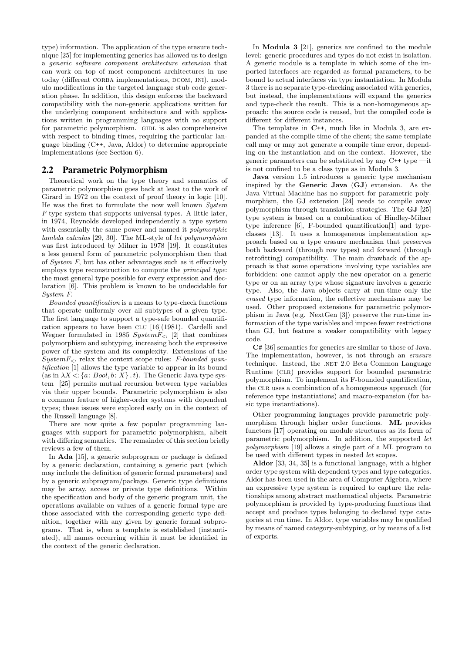type) information. The application of the type erasure technique [25] for implementing generics has allowed us to design a generic software component architecture extension that can work on top of most component architectures in use today (different CORBA implementations, DCOM, JNI), modulo modifications in the targeted language stub code generation phase. In addition, this design enforces the backward compatibility with the non-generic applications written for the underlying component architecture and with applications written in programming languages with no support for parametric polymorphism. GIDL is also comprehensive with respect to binding times, requiring the particular language binding (C++, Java, Aldor) to determine appropriate implementations (see Section 6).

### 2.2 Parametric Polymorphism

Theoretical work on the type theory and semantics of parametric polymorphism goes back at least to the work of Girard in 1972 on the context of proof theory in logic [10]. He was the first to formulate the now well known System F type system that supports universal types. A little later, in 1974, Reynolds developed independently a type system with essentially the same power and named it polymorphic lambda calculus [29, 30]. The ML-style of let polymorphism was first introduced by Milner in 1978 [19]. It constitutes a less general form of parametric polymorphism then that of System F, but has other advantages such as it effectively employs type reconstruction to compute the *principal type*: the most general type possible for every expression and declaration [6]. This problem is known to be undecidable for System F.

Bounded quantification is a means to type-check functions that operate uniformly over all subtypes of a given type. The first language to support a type-safe bounded quantification appears to have been  $CLU$  [16](1981). Cardelli and Wegner formulated in 1985 System  $F_{\leq 1}$  [2] that combines polymorphism and subtyping, increasing both the expressive power of the system and its complexity. Extensions of the  $SystemF_{\leq}$  relax the context scope rules: F-bounded quantification [1] allows the type variable to appear in its bound (as in  $\lambda X \langle \cdot | a : Bool, b : X \} . t$ ). The Generic Java type system [25] permits mutual recursion between type variables via their upper bounds. Parametric polymorphism is also a common feature of higher-order systems with dependent types; these issues were explored early on in the context of the Russell language [8].

There are now quite a few popular programming languages with support for parametric polymorphism, albeit with differing semantics. The remainder of this section briefly reviews a few of them.

In Ada [15], a generic subprogram or package is defined by a generic declaration, containing a generic part (which may include the definition of generic formal parameters) and by a generic subprogram/package. Generic type definitions may be array, access or private type definitions. Within the specification and body of the generic program unit, the operations available on values of a generic formal type are those associated with the corresponding generic type definition, together with any given by generic formal subprograms. That is, when a template is established (instantiated), all names occurring within it must be identified in the context of the generic declaration.

In Modula 3 [21], generics are confined to the module level: generic procedures and types do not exist in isolation. A generic module is a template in which some of the imported interfaces are regarded as formal parameters, to be bound to actual interfaces via type instantiation. In Modula 3 there is no separate type-checking associated with generics, but instead, the implementations will expand the generics and type-check the result. This is a non-homogeneous approach: the source code is reused, but the compiled code is different for different instances.

The templates in C++, much like in Modula 3, are expanded at the compile time of the client; the same template call may or may not generate a compile time error, depending on the instantiation and on the context. However, the generic parameters can be substituted by any C++ type —it is not confined to be a class type as in Modula 3.

Java version 1.5 introduces a generic type mechanism inspired by the Generic Java (GJ) extension. As the Java Virtual Machine has no support for parametric polymorphism, the GJ extension [24] needs to compile away polymorphism through translation strategies. The GJ [25] type system is based on a combination of Hindley-Milner type inference [6], F-bounded quantification[1] and typeclasses [13]. It uses a homogeneous implementation approach based on a type erasure mechanism that preserves both backward (through row types) and forward (through retrofitting) compatibility. The main drawback of the approach is that some operations involving type variables are forbidden: one cannot apply the new operator on a generic type or on an array type whose signature involves a generic type. Also, the Java objects carry at run-time only the erased type information, the reflective mechanisms may be used. Other proposed extensions for parametric polymorphism in Java (e.g. NextGen [3]) preserve the run-time information of the type variables and impose fewer restrictions than GJ, but feature a weaker compatibility with legacy code.

C# [36] semantics for generics are similar to those of Java. The implementation, however, is not through an erasure technique. Instead, the .NET 2.0 Beta Common Language Runtime (clr) provides support for bounded parametric polymorphism. To implement its F-bounded quantification, the CLR uses a combination of a homogeneous approach (for reference type instantiations) and macro-expansion (for basic type instantiations).

Other programming languages provide parametric polymorphism through higher order functions. ML provides functors [17] operating on module structures as its form of parametric polymorphism. In addition, the supported let polymorphism [19] allows a single part of a ML program to be used with different types in nested let scopes.

Aldor [33, 34, 35] is a functional language, with a higher order type system with dependent types and type categories. Aldor has been used in the area of Computer Algebra, where an expressive type system is required to capture the relationships among abstract mathematical objects. Parametric polymorphism is provided by type-producing functions that accept and produce types belonging to declared type categories at run time. In Aldor, type variables may be qualified by means of named category-subtyping, or by means of a list of exports.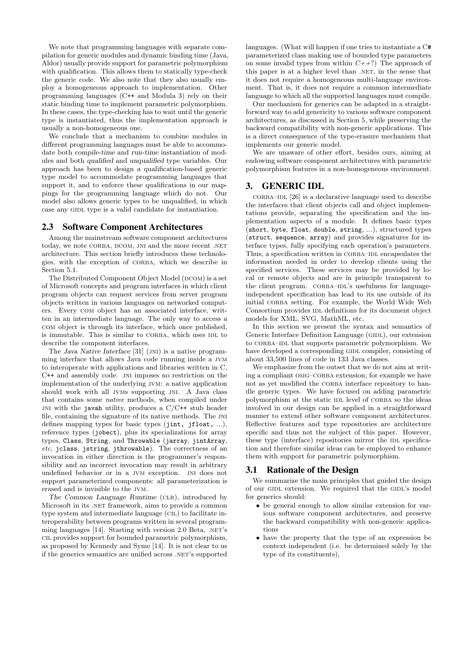We note that programming languages with separate compilation for generic modules and dynamic binding time (Java, Aldor) usually provide support for parametric polymorphism with qualification. This allows them to statically type-check the generic code. We also note that they also usually employ a homogeneous approach to implementation. Other programming languages (C++ and Modula 3) rely on their static binding time to implement parametric polymorphism. In these cases, the type-checking has to wait until the generic type is instantiated, thus the implementation approach is usually a non-homogeneous one.

We conclude that a mechanism to combine modules in different programming languages must be able to accommodate both compile-time and run-time instantiation of modules and both qualified and unqualified type variables. Our approach has been to design a qualification-based generic type model to accommodate programming languages that support it, and to enforce these qualifications in our mappings for the programming language which do not. Our model also allows generic types to be unqualified, in which case any GIDL type is a valid candidate for instantiation.

#### 2.3 Software Component Architectures

Among the mainstream software component architectures today, we note CORBA, DCOM, JNI and the more recent .NET architecture. This section briefly introduces these technologies, with the exception of CORBA, which we describe in Section 5.1.

The Distributed Component Object Model (DCOM) is a set of Microsoft concepts and program interfaces in which client program objects can request services from server program objects written in various languages on networked computers. Every com object has an associated interface, written in an intermediate language. The only way to access a com object is through its interface, which once published, is immutable. This is similar to CORBA, which uses IDL to describe the component interfaces.

The Java Native Interface [31] (JNI) is a native programming interface that allows Java code running inside a jvm to interoperate with applications and libraries written in C, C++ and assembly code. jni imposes no restriction on the implementation of the underlying jvm: a native application should work with all jvms supporting jni. A Java class that contains some native methods, when compiled under JNI with the javah utility, produces a  $C/C^{++}$  stub header file, containing the signature of its native methods. The JNI defines mapping types for basic types (jint, jfloat, ...), reference types (jobect), plus its specializations for array types, Class, String, and Throwable (jarray, jintArray, etc, jclass, jstring, jthrowable). The correctness of an invocation in either direction is the programmer's responsibility and an incorrect invocation may result in arbitrary undefined behavior or in a jvm exception. jni does not support parameterized components: all parameterization is erased and is invisible to the jvm.

The Common Language Runtime (CLR), introduced by Microsoft in its .net framework, aims to provide a common type system and intermediate language (CIL) to facilitate interoperability between programs written in several programming languages [14]. Starting with version 2.0 Beta, .NET's cil provides support for bounded parametric polymorphism, as proposed by Kennedy and Syme [14]. It is not clear to us if the generics semantics are unified across .NET's supported languages. (What will happen if one tries to instantiate a  $C#$ parameterized class making use of bounded type parameters on some invalid types from within  $C++$ ?) The approach of this paper is at a higher level than .NET, in the sense that it does not require a homogeneous multi-language environment. That is, it does not require a common intermediate language to which all the supported languages must compile.

Our mechanism for generics can be adapted in a straightforward way to add genericity to various software component architectures, as discussed in Section 5, while preserving the backward compatibility with non-generic applications. This is a direct consequence of the type-erasure mechanism that implements our generic model.

We are unaware of other effort, besides ours, aiming at endowing software component architectures with parametric polymorphism features in a non-homogeneous environment.

#### 3. GENERIC IDL

 $CORBA–IDL [26]$  is a declarative language used to describe the interfaces that client objects call and object implementations provide, separating the specification and the implementation aspects of a module. It defines basic types (short, byte, float, double, string, ...), structured types (struct, sequence, array) and provides signatures for interface types, fully specifying each operation's parameters. Thus, a specification written in CORBA–IDL encapsulates the information needed in order to develop clients using the specified services. These services may be provided by local or remote objects and are in principle transparent to the client program. CORBA-IDL's usefulness for languageindependent specification has lead to its use outside of its initial CORBA setting. For example, the World Wide Web Consortium provides IDL definitions for its document object models for XML, SVG, MathML, etc.

In this section we present the syntax and semantics of Generic Interface Definition Language (GIDL), our extension to CORBA-IDL that supports parametric polymorphism. We have developed a corresponding GIDL compiler, consisting of about 33,500 lines of code in 133 Java classes.

We emphasize from the outset that we do not aim at writing a compliant OMG–CORBA extension; for example we have not as yet modified the CORBA interface repository to handle generic types. We have focused on adding parametric polymorphism at the static IDL level of CORBA so the ideas involved in our design can be applied in a straightforward manner to extend other software component architectures. Reflective features and type repositories are architecture specific and thus not the subject of this paper. However, these type (interface) repositories mirror the IDL specification and therefore similar ideas can be employed to enhance them with support for parametric polymorphism.

#### 3.1 Rationale of the Design

We summarize the main principles that guided the design of our GIDL extension. We required that the GIDL's model for generics should:

- be general enough to allow similar extension for various software component architectures, and preserve the backward compatibility with non-generic applications
- have the property that the type of an expression be context independent (i.e. be determined solely by the type of its constituents),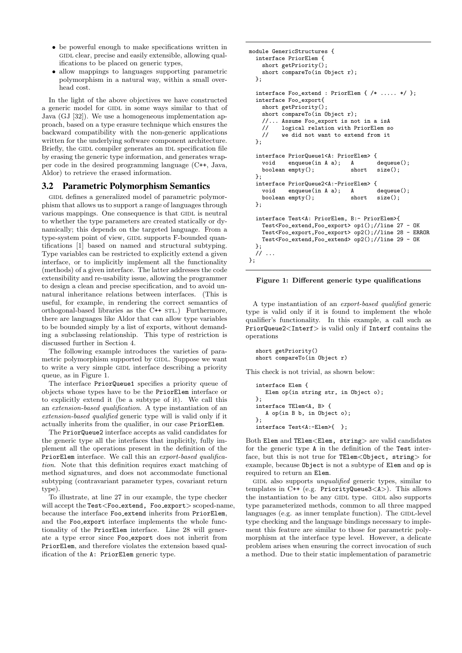- be powerful enough to make specifications written in gidl clear, precise and easily extensible, allowing qualifications to be placed on generic types,
- allow mappings to languages supporting parametric polymorphism in a natural way, within a small overhead cost.

In the light of the above objectives we have constructed a generic model for GIDL in some ways similar to that of Java (GJ [32]). We use a homogeneous implementation approach, based on a type erasure technique which ensures the backward compatibility with the non-generic applications written for the underlying software component architecture. Briefly, the GIDL compiler generates an IDL specification file by erasing the generic type information, and generates wrapper code in the desired programming language (C++, Java, Aldor) to retrieve the erased information.

#### 3.2 Parametric Polymorphism Semantics

GIDL defines a generalized model of parametric polymorphism that allows us to support a range of languages through various mappings. One consequence is that GIDL is neutral to whether the type parameters are created statically or dynamically; this depends on the targeted language. From a type-system point of view, GIDL supports F-bounded quantifications [1] based on named and structural subtyping. Type variables can be restricted to explicitly extend a given interface, or to implicitly implement all the functionality (methods) of a given interface. The latter addresses the code extensibility and re-usability issue, allowing the programmer to design a clean and precise specification, and to avoid unnatural inheritance relations between interfaces. (This is useful, for example, in rendering the correct semantics of orthogonal-based libraries as the C++  $STL$ .) Furthermore, there are languages like Aldor that can allow type variables to be bounded simply by a list of exports, without demanding a subclassing relationship. This type of restriction is discussed further in Section 4.

The following example introduces the varieties of parametric polymorphism supported by GIDL. Suppose we want to write a very simple GIDL interface describing a priority queue, as in Figure 1.

The interface PriorQueue1 specifies a priority queue of objects whose types have to be the PriorElem interface or to explicitly extend it (be a subtype of it). We call this an extension-based qualification. A type instantiation of an extension-based qualified generic type will is valid only if it actually inherits from the qualifier, in our case PriorElem.

The PriorQueue2 interface accepts as valid candidates for the generic type all the interfaces that implicitly, fully implement all the operations present in the definition of the PriorElem interface. We call this an export-based qualification. Note that this definition requires exact matching of method signatures, and does not accommodate functional subtyping (contravariant parameter types, covariant return type).

To illustrate, at line 27 in our example, the type checker will accept the Test<Foo\_extend, Foo\_export>scoped-name, because the interface Foo extend inherits from PriorElem, and the Foo export interface implements the whole functionality of the PriorElem interface. Line 28 will generate a type error since Foo export does not inherit from PriorElem, and therefore violates the extension based qualification of the A: PriorElem generic type.

```
module GenericStructures {
  interface PriorElem {
    short getPriority();
    short compareTo(in Object r);
  };
  interface Foo_extend : PriorElem { /* ..... */ };
  interface Foo_export{
    short getPriority();
    short compareTo(in Object r);
    //... Assume Foo_export is not in a isA
    // logical relation with PriorElem so
           we did not want to extend from it
  };
  interface PriorQueue1<A: PriorElem> {<br>void enqueue(in A a); A dequeue();
    void enqueue(in A a); A dequeue<br>boolean empty(); short size();
    boolean empty();
  };
  interface PriorQueue2<A:-PriorElem> {<br>void enqueue(in A a); A dequeue();
              enqueue(in A a); A dequeue<br>empty(); short size();
    boolean empty();
  \ddot{\ }:
  interface Test<A: PriorElem, B:- PriorElem>{
    Test<Foo_extend,Foo_export> op1();//line 27 - OK
    Test<Foo_export,Foo_export> op2();//line 28 - ERROR
    Test<Foo_extend,Foo_extend> op2();//line 29 - OK
  };
  // ...
};
```
Figure 1: Different generic type qualifications

A type instantiation of an export-based qualified generic type is valid only if it is found to implement the whole qualifier's functionality. In this example, a call such as PriorQueue2<Interf> is valid only if Interf contains the operations

short getPriority() short compareTo(in Object r)

This check is not trivial, as shown below:

```
interface Elem {
  Elem op(in string str, in Object o);
};
interface TElem<A, B> {
   A op(in B b, in Object o);
};
interface Test<A:-Elem>{ };
```
Both Elem and TElem<Elem, string> are valid candidates for the generic type A in the definition of the Test interface, but this is not true for TElem<Object, string> for example, because Object is not a subtype of Elem and op is required to return an Elem.

gidl also supports unqualified generic types, similar to templates in C++ (e.g. PriorityQueue3<A>). This allows the instantiation to be any GIDL type. GIDL also supports type parameterized methods, common to all three mapped languages (e.g. as inner template function). The GIDL-level type checking and the language bindings necessary to implement this feature are similar to those for parametric polymorphism at the interface type level. However, a delicate problem arises when ensuring the correct invocation of such a method. Due to their static implementation of parametric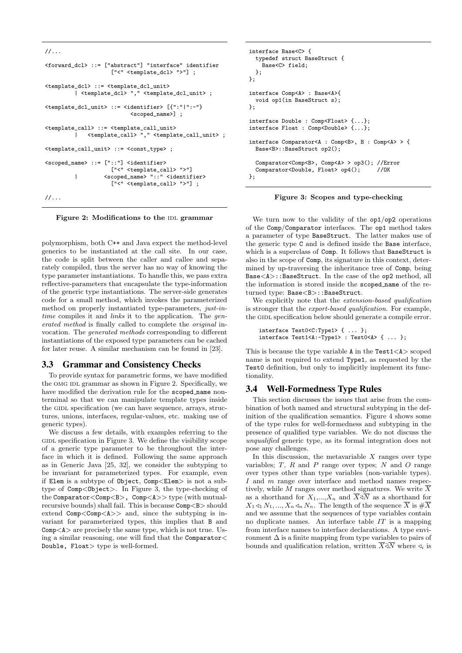```
//...
<forward_dcl> ::= ["abstract"] "interface" identifier
                    ["<" <template_dcl> ">"] ;
<template_dcl> ::= <template_dcl_unit>
         | <template_dcl> "," <template_dcl_unit> ;
<template_dcl_unit> ::= <identifier> [{":"|":-"}
                          <scoped_name>] ;
<template_call> ::= <template_call_unit>
            | <template_call> "," <template_call_unit> ;
<template_call_unit> ::= <const_type> ;
<scoped_name> ::= ["::"] <identifier>
                    ["<" <template_call> ">"]
         | <scoped_name> "::" <identifier>
                    ["<" <template_call> ">"] ;
//...
```


polymorphism, both C++ and Java expect the method-level generics to be instantiated at the call site. In our case, the code is split between the caller and callee and separately compiled, thus the server has no way of knowing the type parameter instantiations. To handle this, we pass extra reflective-parameters that encapsulate the type-information of the generic type instantiations. The server-side generates code for a small method, which invokes the parameterized method on properly instantiated type-parameters, just-intime compiles it and links it to the application. The generated method is finally called to complete the original invocation. The generated methods corresponding to different instantiations of the exposed type parameters can be cached for later reuse. A similar mechanism can be found in [23].

#### 3.3 Grammar and Consistency Checks

To provide syntax for parametric forms, we have modified the OMG IDL grammar as shown in Figure 2. Specifically, we have modified the derivation rule for the scoped name nonterminal so that we can manipulate template types inside the GIDL specification (we can have sequence, arrays, structures, unions, interfaces, regular-values, etc. making use of generic types).

We discuss a few details, with examples referring to the GIDL specification in Figure 3. We define the visibility scope of a generic type parameter to be throughout the interface in which it is defined. Following the same approach as in Generic Java [25, 32], we consider the subtyping to be invariant for parameterized types. For example, even if Elem is a subtype of Object, Comp<Elem> is not a subtype of Comp<Object>. In Figure 3, the type-checking of the Comparator<Comp<B>, Comp<A>> type (with mutualrecursive bounds) shall fail. This is because Comp<B> should extend  $Comp>$  and, since the subtyping is invariant for parameterized types, this implies that B and Comp<A> are precisely the same type, which is not true. Using a similar reasoning, one will find that the Comparator< Double, Float> type is well-formed.

```
interface Base<C> {
  typedef struct BaseStruct {
    Base<C> field;
  };
};
interface Comp<A> : Base<A>{
  void op1(in BaseStruct s);
};
interface Double : Comp<Float> {...};
interface Float : Comp<Double> {...};
interface Comparator<A : Comp<B>, B : Comp<A> > {
  Base<B>::BaseStruct op2();
  Comparator<Comp<B>, Comp<A> > op3(); //Error<br>Comparator<Double. Float> op4(): //OK
  Comparator<Double, Float> op4();
};
```
Figure 3: Scopes and type-checking

We turn now to the validity of the  $op1/op2$  operations of the Comp/Comparator interfaces. The op1 method takes a parameter of type BaseStruct. The latter makes use of the generic type C and is defined inside the Base interface, which is a superclass of Comp. It follows that BaseStruct is also in the scope of Comp, its signature in this context, determined by up-traversing the inheritance tree of Comp, being Base<A>::BaseStruct. In the case of the op2 method, all the information is stored inside the scoped name of the returned type: Base<B>::BaseStruct.

We explicitly note that the *extension-based qualification* is stronger that the export-based qualification. For example, the GIDL specification below should generate a compile error.

```
interface Test0<C:Type1> { ... };
interface Test1<A:-Type1> : Test0<A> { ... };
```
This is because the type variable  $A$  in the Test $1 \lt A$  scoped name is not required to extend Type1, as requested by the Test0 definition, but only to implicitly implement its functionality.

### 3.4 Well-Formedness Type Rules

This section discusses the issues that arise from the combination of both named and structural subtyping in the definition of the qualification semantics. Figure 4 shows some of the type rules for well-formedness and subtyping in the presence of qualified type variables. We do not discuss the unqualified generic type, as its formal integration does not pose any challenges.

In this discussion, the metavariable  $X$  ranges over type variables;  $T$ ,  $R$  and  $P$  range over types;  $N$  and  $O$  range over types other than type variables (non-variable types). I and m range over interface and method names respectively, while M ranges over method signatures. We write  $\overline{X}$ as a shorthand for  $X_1,...,X_n$  and  $\overline{X}\bar{\lhd} \overline{N}$  as a shorthand for  $X_1 \triangleleft_1 N_1, ..., X_n \triangleleft_n N_n$ . The length of the sequence  $\overline{X}$  is  $\#\overline{X}$ and we assume that the sequences of type variables contain no duplicate names. An interface table IT is a mapping from interface names to interface declarations. A type environment  $\Delta$  is a finite mapping from type variables to pairs of bounds and qualification relation, written  $\overline{X} \overline{\triangleleft N}$  where  $\triangleleft_i$  is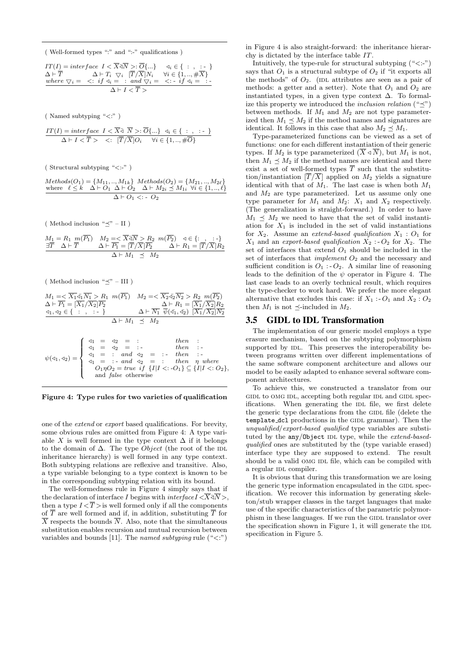( Well-formed types ":" and ":-" qualifications )

$$
\begin{array}{lll} IT(I)=interface & I<\overline{X} \overline{\triangleleft N}>:\overline{O}\{...\} & \vartriangleleft_i \in \{ \ : \ , \ : \ -\Delta \vdash \overline{T} & \Delta \vdash T_i \ \nabla_i \ \overline{[T/X]} N_i & \forall i \in \{1,.., \#X\} \\ \hline \textit{where } \nabla_i = & <: if \ \vartriangleleft_i = \ : \ \textit{and } \nabla_i = \ & <: \ \cdot \ \textit{if } \ \vartriangleleft_i = \ : \ -\Delta \vdash I < \overline{T} > \end{array}
$$

( Named subtyping "<:" )

$$
\frac{IT(I) = interface \ I < \overline{X} \overline{\triangleleft X} >:\overline{O}\{...\} \ \mathbf{q}_i \in \{\ : \ , \ : \ -\}}{\Delta \vdash I < \overline{T} > \ \langle : \ \overline{(T/X]O_i} \ \ \forall i \in \{1, ..., \#\overline{O}\}\}
$$

( Structural subtyping "<:-" )

 $Methods(O_1) = \{M_{11},..,M_{1k}\}$   $Methods(O_2) = \{M_{21},..,M_{2\ell}\}$ where  $\ell \leq k \Delta \vdash O_1 \Delta \vdash O_2 \Delta \vdash M_{2i} \preceq M_{1i} \forall i \in \{1, ..., \ell\}$  $\Delta \vdash O_1 \lt: -O_2$ 

( Method inclusion " $\preceq$ " – II )

$$
\begin{array}{ll}\nM_1 = R_1 \ m(\overline{P_1}) & M_2 = < \overline{X} \, \overline{\mathfrak{A}} \overline{N} > R_2 \ m(\overline{P_2}) & \mathfrak{A} \in \{: \ , \ : \cdot\} \\
\hline\n\overline{\mathfrak{A}} \overline{T} & \Delta \vdash \overline{T} & \Delta \vdash \overline{P_1} = [\overline{T}/\overline{X}] \overline{P_2} & \Delta \vdash R_1 = [\overline{T}/\overline{X}] R_2 \\
& \Delta \vdash M_1 \preceq M_2\n\end{array}
$$

( Method inclusion " $\preceq$ " – III )

$$
M_1 = \langle \overline{X_1} d_1 \overline{N_1} \rangle R_1 \quad m(\overline{P_1}) \quad M_2 = \langle \overline{X_2} d_2 \overline{N_2} \rangle R_2 \quad m(\overline{P_2})
$$
  
\n
$$
\Delta \vdash \overline{P_1} = [\overline{X_1}/\overline{X_2}]\overline{P_2} \qquad \Delta \vdash R_1 = [\overline{X_1}/\overline{X_2}]\overline{R_2}
$$
  
\n
$$
\underbrace{d_1, d_2 \in \{ \ : \ , \ : \cdot \} }_{\Delta \vdash M_1} \quad \Delta \vdash \overline{N_1} \quad \overline{\psi}(\overline{d_1}, \overline{d_2}) \quad [\overline{X_1}/\overline{X_2}]\overline{N_2}
$$
  
\n
$$
\Delta \vdash M_1 \leq M_2
$$
  
\n
$$
\psi(\overline{d_1}, d_2) = \begin{cases} d_1 = d_2 = \ : & \text{then} \ : \\ d_1 = d_2 = \ : & \text{then} \ : \\ d_1 = \ : & \text{and} \ d_2 = \ : & \text{then} \ : \\ d_1 = \ : & \text{and} \ d_2 = \ : & \text{then} \quad \eta \text{ where} \\ \overline{O_1 \eta O_2} = \text{true} \quad \text{if} \quad \{I | I \leq \ : O_1\} \subseteq \{I | I \leq \ : O_2\}, \\ & \text{and \text{false otherwise} \end{cases}
$$



one of the extend or export based qualifications. For brevity, some obvious rules are omitted from Figure 4: A type variable X is well formed in the type context  $\Delta$  if it belongs to the domain of  $\Delta$ . The type *Object* (the root of the IDL inheritance hierarchy) is well formed in any type context. Both subtyping relations are reflexive and transitive. Also, a type variable belonging to a type context is known to be in the corresponding subtyping relation with its bound.

The well-formedness rule in Figure 4 simply says that if the declaration of interface I begins with  $interfaceI < \overline{X} \overline{dN} >$ , then a type  $I \leq \overline{T}$  is well formed only if all the components of  $\overline{T}$  are well formed and if, in addition, substituting  $\overline{T}$  for  $\overline{X}$  respects the bounds  $\overline{N}$ . Also, note that the simultaneous substitution enables recursion and mutual recursion between variables and bounds [11]. The named subtyping rule  $(*\lt;$ :")

in Figure 4 is also straight-forward: the inheritance hierarchy is dictated by the interface table IT.

Intuitively, the type-rule for structural subtyping  $(*\lt;:-")$ says that  $O_1$  is a structural subtype of  $O_2$  if "it exports all the methods" of  $O_2$ . (IDL attributes are seen as a pair of methods: a getter and a setter). Note that  $O_1$  and  $O_2$  are instantiated types, in a given type context  $\Delta$ . To formalize this property we introduced the *inclusion relation* (" $\preceq$ ") between methods. If  $M_1$  and  $M_2$  are not type parameterized then  $M_1 \preceq M_2$  if the method names and signatures are identical. It follows in this case that also  $M_2 \prec M_1$ .

Type-parameterized functions can be viewed as a set of functions: one for each different instantiation of their generic types. If  $M_2$  is type parameterized  $(\overline{X} \triangleleft \overline{N})$ , but  $M_1$  is not, then  $M_1 \prec M_2$  if the method names are identical and there exist a set of well-formed types  $\overline{T}$  such that the substitution/instantiation  $[\overline{T}/\overline{X}]$  applied on  $M_2$  yields a signature identical with that of  $M_1$ . The last case is when both  $M_1$ and  $M_2$  are type parameterized. Let us assume only one type parameter for  $M_1$  and  $M_2$ :  $X_1$  and  $X_2$  respectively. (The generalization is straight-forward.) In order to have  $M_1 \prec M_2$  we need to have that the set of valid instantiation for  $X_1$  is included in the set of valid instantiations for  $X_2$ . Assume an *extend-based qualification*  $X_1 : O_1$  for  $X_1$  and an export-based qualification  $X_2$ : -  $O_2$  for  $X_2$ . The set of interfaces that extend  $O_1$  should be included in the set of interfaces that *implement*  $O_2$  and the necessary and sufficient condition is  $O_1$  :- $O_2$ . A similar line of reasoning leads to the definition of the  $\psi$  operator in Figure 4. The last case leads to an overly technical result, which requires the type-checker to work hard. We prefer the more elegant alternative that excludes this case: if  $X_1 : O_1$  and  $X_2 : O_2$ then  $M_1$  is not  $\preceq$ -included in  $M_2$ .

#### 3.5 GIDL to IDL Transformation

The implementation of our generic model employs a type erasure mechanism, based on the subtyping polymorphism supported by IDL. This preserves the interoperability between programs written over different implementations of the same software component architecture and allows our model to be easily adapted to enhance several software component architectures.

To achieve this, we constructed a translator from our GIDL to OMG IDL, accepting both regular IDL and GIDL specifications. When generating the IDL file, we first delete the generic type declarations from the GIDL file (delete the template\_dcl productions in the GIDL grammar). Then the unqualified/export-based qualified type variables are substituted by the  $\text{any}/\text{Object}$  IDL type, while the extend-basedqualified ones are substituted by the (type variable erased) interface type they are supposed to extend. The result should be a valid OMG IDL file, which can be compiled with a regular IDL compiler.

It is obvious that during this transformation we are losing the generic type information encapsulated in the GIDL specification. We recover this information by generating skeleton/stub wrapper classes in the target languages that make use of the specific characteristics of the parametric polymorphism in these languages. If we run the GIDL translator over the specification shown in Figure 1, it will generate the  $IDL$ specification in Figure 5.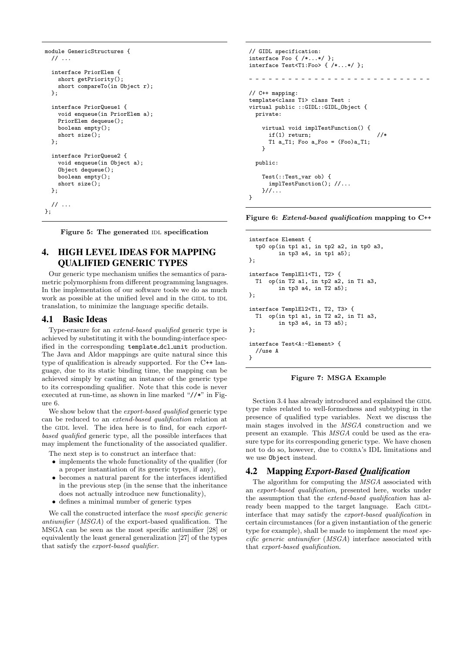```
module GenericStructures {
  \prime\prime\ldotsinterface PriorElem {
    short getPriority();
    short compareTo(in Object r);
  };
  interface PriorQueue1 {
    void enqueue(in PriorElem a);
    PriorElem dequeue();
    boolean empty();
    short size();
  };
  interface PriorQueue2 {
    void enqueue(in Object a);
    Object dequeue();
    boolean empty();
    short size();
  \lambda:
  // ...
};
```
Figure 5: The generated IDL specification

# 4. HIGH LEVEL IDEAS FOR MAPPING QUALIFIED GENERIC TYPES

Our generic type mechanism unifies the semantics of parametric polymorphism from different programming languages. In the implementation of our software tools we do as much work as possible at the unified level and in the GIDL to IDL translation, to minimize the language specific details.

### 4.1 Basic Ideas

Type-erasure for an extend-based qualified generic type is achieved by substituting it with the bounding-interface specified in the corresponding template dcl unit production. The Java and Aldor mappings are quite natural since this type of qualification is already supported. For the C++ language, due to its static binding time, the mapping can be achieved simply by casting an instance of the generic type to its corresponding qualifier. Note that this code is never executed at run-time, as shown in line marked "//\*" in Figure 6.

We show below that the *export-based qualified* generic type can be reduced to an extend-based qualification relation at the GIDL level. The idea here is to find, for each exportbased qualified generic type, all the possible interfaces that may implement the functionality of the associated qualifier.

The next step is to construct an interface that:

- implements the whole functionality of the qualifier (for a proper instantiation of its generic types, if any),
- becomes a natural parent for the interfaces identified in the previous step (in the sense that the inheritance does not actually introduce new functionality),
- defines a minimal number of generic types

We call the constructed interface the most specific generic antiunifier (MSGA) of the export-based qualification. The MSGA can be seen as the most specific antiunifier [28] or equivalently the least general generalization [27] of the types that satisfy the export-based qualifier.

```
// GIDL specification:
interface Foo { /*...*/ };
interface Test<T1:Foo> { /*...*/ };
      - - - - - - - - - - - - - - - - - - - - - - - - - - - -
// C++ mapping:
template<class T1> class Test :
virtual public ::GIDL::GIDL_Object {
  private:
    virtual void implTestFunction() {
      if(1) return: //*
      T1 a T1; Foo a Foo = (Food)a T1;
    }
  public:
    Test(::Test_var ob) {
      implTestFunction(); //...
    \frac{1}{2}//...
}
```
Figure 6: Extend-based qualification mapping to C++

```
interface Element {
  tp0 op(in tp1 a1, in tp2 a2, in tp0 a3,
         in tp3 a4, in tp1 a5);
};
interface TemplEl1<T1, T2> {
 T1 op(in T2 a1, in tp2 a2, in T1 a3,in tp3 a4, in T2 a5);
};
interface TemplEl2<T1, T2, T3> {
 T1 op(in tp1 a1, in T2 a2, in T1 a3,
         in tp3 a4, in T3 a5);
};
interface Test<A:-Element> {
  //use A
}
```


Section 3.4 has already introduced and explained the GIDL type rules related to well-formedness and subtyping in the presence of qualified type variables. Next we discuss the main stages involved in the MSGA construction and we present an example. This MSGA could be used as the erasure type for its corresponding generic type. We have chosen not to do so, however, due to CORBA's IDL limitations and we use Object instead.

# 4.2 Mapping *Export-Based Qualification*

The algorithm for computing the MSGA associated with an export-based qualification, presented here, works under the assumption that the extend-based qualification has already been mapped to the target language. Each GIDLinterface that may satisfy the export-based qualification in certain circumstances (for a given instantiation of the generic type for example), shall be made to implement the most specific generic antiunifier (MSGA) interface associated with that export-based qualification.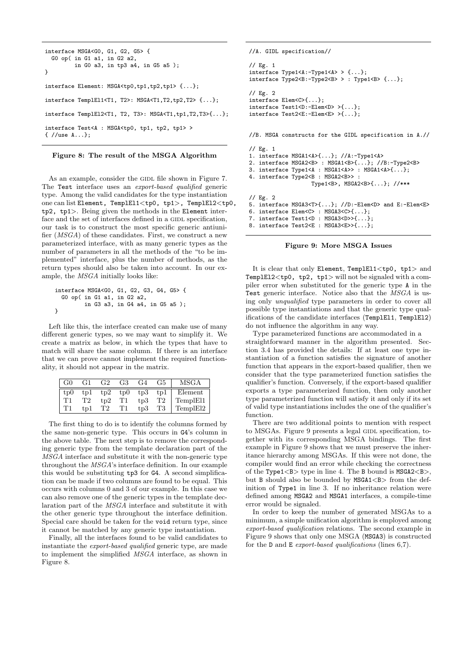```
interface MSGA<G0, G1, G2, G5> {
 G0 op( in G1 a1, in G2 a2,
         in G0 a3, in tp3 a4, in G5 a5 );
}
interface Element: MSGA<tp0,tp1,tp2,tp1> {...};
interface TemplEl1<T1, T2>: MSGA<T1,T2,tp2,T2> {...};
interface TemplEl2<T1, T2, T3>: MSGA<T1,tp1,T2,T3>{...};
interface Test<A : MSGA<tp0, tp1, tp2, tp1> >
{ //use A...};
```
#### Figure 8: The result of the MSGA Algorithm

As an example, consider the GIDL file shown in Figure 7. The Test interface uses an *export-based qualified* generic type. Among the valid candidates for the type instantiation one can list Element, TemplEl1<tp0, tp1>, TemplEl2<tp0, tp2, tp1>. Being given the methods in the Element interface and the set of interfaces defined in a GIDL specification, our task is to construct the most specific generic antiunifier (MSGA) of these candidates. First, we construct a new parameterized interface, with as many generic types as the number of parameters in all the methods of the "to be implemented" interface, plus the number of methods, as the return types should also be taken into account. In our example, the MSGA initially looks like:

```
interface MSGA<G0, G1, G2, G3, G4, G5> {
 G0 op( in G1 a1, in G2 a2,
         in G3 a3, in G4 a4, in G5 a5 );
}
```
Left like this, the interface created can make use of many different generic types, so we may want to simplify it. We create a matrix as below, in which the types that have to match will share the same column. If there is an interface that we can prove cannot implement the required functionality, it should not appear in the matrix.

| GO                      | G1          | G2                        | G3  | G <sub>4</sub> | G5          | MSGA                 |
|-------------------------|-------------|---------------------------|-----|----------------|-------------|----------------------|
| $\text{t}$ <sup>0</sup> | $t_{\rm D}$ | $\text{tp2}$              | tp0 | tp3            | $t_{\rm D}$ | Element              |
| $\mathrm{T}1$           | T2          | $\mathrm{t}$ <sup>2</sup> | T1  | tp3            | T2          | TemplE <sub>11</sub> |
| T1                      | t p1        | T2                        | T1  | tp3            | Т3          | TemplE <sub>12</sub> |

The first thing to do is to identify the columns formed by the same non-generic type. This occurs in G4's column in the above table. The next step is to remove the corresponding generic type from the template declaration part of the MSGA interface and substitute it with the non-generic type throughout the MSGA's interface definition. In our example this would be substituting tp3 for G4. A second simplification can be made if two columns are found to be equal. This occurs with columns 0 and 3 of our example. In this case we can also remove one of the generic types in the template declaration part of the MSGA interface and substitute it with the other generic type throughout the interface definition. Special care should be taken for the void return type, since it cannot be matched by any generic type instantiation.

Finally, all the interfaces found to be valid candidates to instantiate the export-based qualified generic type, are made to implement the simplified MSGA interface, as shown in Figure 8.

```
//A. GIDL specification//
// Eg. 1
interface Type1<A:-Type1<A> > {...};
interface Type2<B:-Type2<B> > : Type1<B> {...};
// Eg. 2
interface Elem<C>{...};
interface Test1<D:-Elem<D> >{...};
interface Test2<E:-Elem<E> >{...};
//B. MSGA constructs for the GIDL specification in A.//
// Eg. 1
1. interface MSGA1<A>{...}; //A:-Type1<A>
2. interface MSGA2<B> : MSGA1<B>{...}; //B:-Type2<B>
3. interface Type1<A : MSGA1<A>> : MSGA1<A>{...};
4. interface Type2<B : MSGA2<B>> :
                   Type1<B>, MSGA2<B>{...}; //***
// Eg. 2
5. interface MSGA3<T>{...}; //D:-Elem<D> and E:-Elem<E>
6. interface Elem<C> : MSGA3<C>{...};
7. interface Test1<D : MSGA3<D>>{...};
8. interface Test2<E : MSGA3<E>>{...};
```


It is clear that only Element, TemplEl1<tp0, tp1> and TemplEl2<tp0, tp2, tp1> will not be signaled with a compiler error when substituted for the generic type A in the Test generic interface. Notice also that the MSGA is using only unqualified type parameters in order to cover all possible type instantiations and that the generic type qualifications of the candidate interfaces (TemplEl1, TemplEl2) do not influence the algorithm in any way.

Type parameterized functions are accommodated in a straightforward manner in the algorithm presented. Section 3.4 has provided the details: If at least one type instantiation of a function satisfies the signature of another function that appears in the export-based qualifier, then we consider that the type parameterized function satisfies the qualifier's function. Conversely, if the export-based qualifier exports a type parameterized function, then only another type parameterized function will satisfy it and only if its set of valid type instantiations includes the one of the qualifier's function.

There are two additional points to mention with respect to MSGAs. Figure 9 presents a legal GIDL specification, together with its corresponding MSGA bindings. The first example in Figure 9 shows that we must preserve the inheritance hierarchy among MSGAs. If this were not done, the compiler would find an error while checking the correctness of the Type1<B> type in line 4. The B bound is  $MSGA2 < B$ >, but B should also be bounded by MSGA1<B> from the definition of Type1 in line 3. If no inheritance relation were defined among MSGA2 and MSGA1 interfaces, a compile-time error would be signaled.

In order to keep the number of generated MSGAs to a minimum, a simple unification algorithm is employed among export-based qualification relations. The second example in Figure 9 shows that only one MSGA (MSGA3) is constructed for the D and E export-based qualifications (lines 6,7).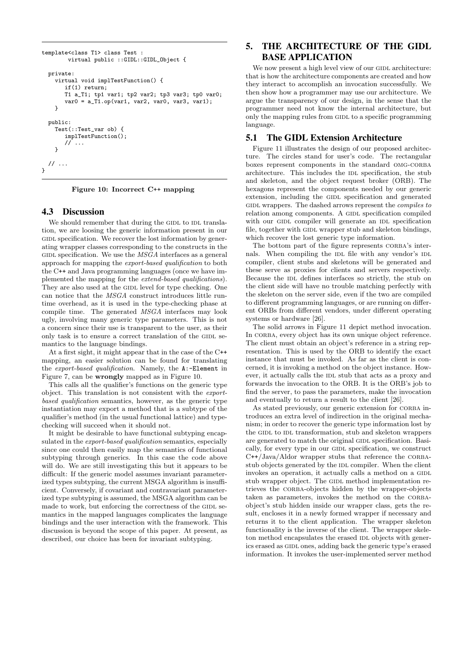```
template<class T1> class Test :
        virtual public ::GIDL::GIDL_Object {
  private:
    virtual void implTestFunction() {
       if(1) return;
       T1 a_T1; tp1 var1; tp2 var2; tp3 var3; tp0 var0;
       var0 = a_T1.op(var1, var2, var0, var3, var1);
    }
  public:
    Test(::Test_var ob) {
       implTestFunction();<br>//
          // ...
    }
 // ...
}
```
#### Figure 10: Incorrect C++ mapping

#### 4.3 Discussion

We should remember that during the GIDL to IDL translation, we are loosing the generic information present in our GIDL specification. We recover the lost information by generating wrapper classes corresponding to the constructs in the GIDL specification. We use the  $MSGA$  interfaces as a general approach for mapping the export-based qualification to both the C++ and Java programming languages (once we have implemented the mapping for the extend-based qualifications). They are also used at the GIDL level for type checking. One can notice that the MSGA construct introduces little runtime overhead, as it is used in the type-checking phase at compile time. The generated MSGA interfaces may look ugly, involving many generic type parameters. This is not a concern since their use is transparent to the user, as their only task is to ensure a correct translation of the GIDL semantics to the language bindings.

At a first sight, it might appear that in the case of the C++ mapping, an easier solution can be found for translating the export-based qualification. Namely, the A:-Element in Figure 7, can be wrongly mapped as in Figure 10.

This calls all the qualifier's functions on the generic type object. This translation is not consistent with the exportbased qualification semantics, however, as the generic type instantiation may export a method that is a subtype of the qualifier's method (in the usual functional lattice) and typechecking will succeed when it should not.

It might be desirable to have functional subtyping encapsulated in the *export-based qualification* semantics, especially since one could then easily map the semantics of functional subtyping through generics. In this case the code above will do. We are still investigating this but it appears to be difficult: If the generic model assumes invariant parameterized types subtyping, the current MSGA algorithm is insufficient. Conversely, if covariant and contravariant parameterized type subtyping is assumed, the MSGA algorithm can be made to work, but enforcing the correctness of the GIDL semantics in the mapped languages complicates the language bindings and the user interaction with the framework. This discussion is beyond the scope of this paper. At present, as described, our choice has been for invariant subtyping.

# 5. THE ARCHITECTURE OF THE GIDL BASE APPLICATION

We now present a high level view of our GIDL architecture: that is how the architecture components are created and how they interact to accomplish an invocation successfully. We then show how a programmer may use our architecture. We argue the transparency of our design, in the sense that the programmer need not know the internal architecture, but only the mapping rules from GIDL to a specific programming language.

#### 5.1 The GIDL Extension Architecture

Figure 11 illustrates the design of our proposed architecture. The circles stand for user's code. The rectangular boxes represent components in the standard OMG-CORBA architecture. This includes the IDL specification, the stub and skeleton, and the object request broker (ORB). The hexagons represent the components needed by our generic extension, including the GIDL specification and generated GIDL wrappers. The dashed arrows represent the *compiles to* relation among components. A GIDL specification compiled with our GIDL compiler will generate an IDL specification file, together with GIDL wrapper stub and skeleton bindings, which recover the lost generic type information.

The bottom part of the figure represents CORBA's internals. When compiling the IDL file with any vendor's IDL compiler, client stubs and skeletons will be generated and these serve as proxies for clients and servers respectively. Because the IDL defines interfaces so strictly, the stub on the client side will have no trouble matching perfectly with the skeleton on the server side, even if the two are compiled to different programming languages, or are running on different ORBs from different vendors, under different operating systems or hardware [26].

The solid arrows in Figure 11 depict method invocation. In CORBA, every object has its own unique object reference. The client must obtain an object's reference in a string representation. This is used by the ORB to identify the exact instance that must be invoked. As far as the client is concerned, it is invoking a method on the object instance. However, it actually calls the IDL stub that acts as a proxy and forwards the invocation to the ORB. It is the ORB's job to find the server, to pass the parameters, make the invocation and eventually to return a result to the client [26].

As stated previously, our generic extension for CORBA introduces an extra level of indirection in the original mechanism; in order to recover the generic type information lost by the GIDL to IDL transformation, stub and skeleton wrappers are generated to match the original GIDL specification. Basically, for every type in our GIDL specification, we construct  $C++/Java/ Aldor$  wrapper stubs that reference the CORBAstub objects generated by the IDL compiler. When the client invokes an operation, it actually calls a method on a GIDL stub wrapper object. The GIDL method implementation retrieves the CORBA-objects hidden by the wrapper-objects taken as parameters, invokes the method on the CORBAobject's stub hidden inside our wrapper class, gets the result, encloses it in a newly formed wrapper if necessary and returns it to the client application. The wrapper skeleton functionality is the inverse of the client. The wrapper skeleton method encapsulates the erased IDL objects with generics erased as GIDL ones, adding back the generic type's erased information. It invokes the user-implemented server method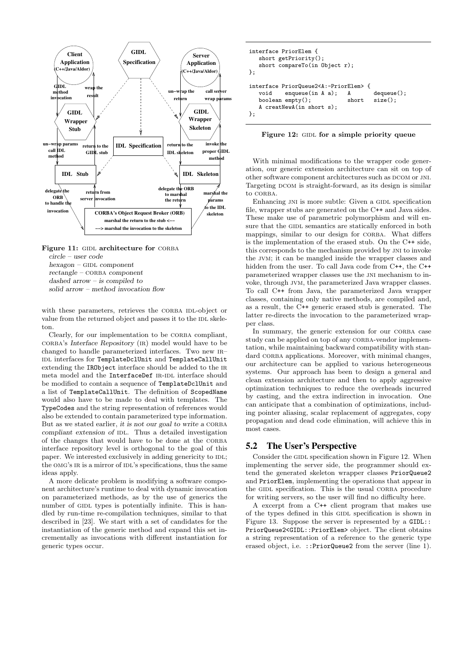

Figure 11: GIDL architecture for CORBA circle – user code  $hexagon - GIDL component$  $rectangle - CORBA component$ dashed arrow – is compiled to solid arrow – method invocation flow

with these parameters, retrieves the CORBA IDL-object or value from the returned object and passes it to the IDL skeleton.

Clearly, for our implementation to be CORBA compliant, corba's Interface Repository (IR) model would have to be changed to handle parameterized interfaces. Two new IR-IDL interfaces for TemplateDclUnit and TemplateCallUnit extending the IRObject interface should be added to the ir meta model and the InterfaceDef IR-IDL interface should be modified to contain a sequence of TemplateDclUnit and a list of TemplateCallUnit. The definition of ScopedName would also have to be made to deal with templates. The TypeCodes and the string representation of references would also be extended to contain parameterized type information. But as we stated earlier, it is not our goal to write a CORBA compliant extension of IDL. Thus a detailed investigation of the changes that would have to be done at the CORBA interface repository level is orthogonal to the goal of this paper. We interested exclusively in adding genericity to IDL; the OMG's IR is a mirror of IDL's specifications, thus the same ideas apply.

A more delicate problem is modifying a software component architecture's runtime to deal with dynamic invocation on parameterized methods, as by the use of generics the number of GIDL types is potentially infinite. This is handled by run-time re-compilation techniques, similar to that described in [23]. We start with a set of candidates for the instantiation of the generic method and expand this set incrementally as invocations with different instantiation for generic types occur.

```
interface PriorElem {
   short getPriority();
   short compareTo(in Object r);
};
interface PriorQueue2<A:-PriorElem> {
   void enqueue(in A a); A dequeue();<br>boolean empty(); short size();
   boolean empty();
   A creatNewA(in short s);
};
```
Figure 12: GIDL for a simple priority queue

With minimal modifications to the wrapper code generation, our generic extension architecture can sit on top of other software component architectures such as DCOM or JNI. Targeting DCOM is straight-forward, as its design is similar to CORBA.

Enhancing JNI is more subtle: Given a GIDL specification file, wrapper stubs are generated on the C++ and Java sides. These make use of parametric polymorphism and will ensure that the GIDL semantics are statically enforced in both mappings, similar to our design for CORBA. What differs is the implementation of the erased stub. On the C++ side, this corresponds to the mechanism provided by jni to invoke the jvm; it can be mangled inside the wrapper classes and hidden from the user. To call Java code from C++, the C++ parameterized wrapper classes use the JNI mechanism to invoke, through jvm, the parameterized Java wrapper classes. To call C++ from Java, the parameterized Java wrapper classes, containing only native methods, are compiled and, as a result, the C++ generic erased stub is generated. The latter re-directs the invocation to the parameterized wrapper class.

In summary, the generic extension for our CORBA case study can be applied on top of any CORBA-vendor implementation, while maintaining backward compatibility with standard CORBA applications. Moreover, with minimal changes, our architecture can be applied to various heterogeneous systems. Our approach has been to design a general and clean extension architecture and then to apply aggressive optimization techniques to reduce the overheads incurred by casting, and the extra indirection in invocation. One can anticipate that a combination of optimizations, including pointer aliasing, scalar replacement of aggregates, copy propagation and dead code elimination, will achieve this in most cases.

### 5.2 The User's Perspective

Consider the GIDL specification shown in Figure 12. When implementing the server side, the programmer should extend the generated skeleton wrapper classes PriorQueue2 and PriorElem, implementing the operations that appear in the GIDL specification. This is the usual CORBA procedure for writing servers, so the user will find no difficulty here.

A excerpt from a C++ client program that makes use of the types defined in this GIDL specification is shown in Figure 13. Suppose the server is represented by a GIDL:: PriorQueue2<GIDL::PriorElem> object. The client obtains a string representation of a reference to the generic type erased object, i.e. :: PriorQueue2 from the server (line 1).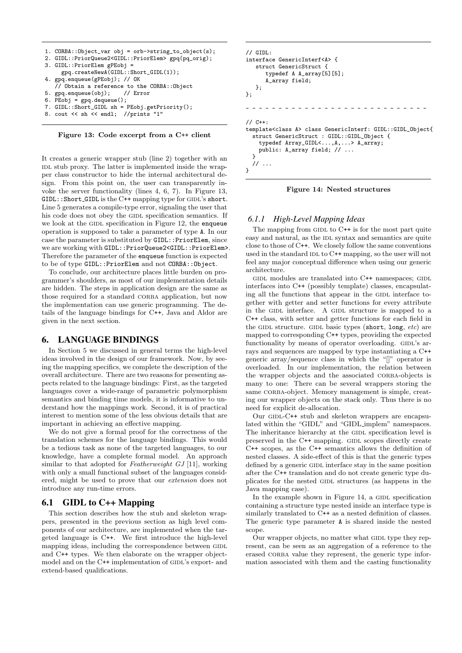```
1. CORBA::Object_var obj = orb->string_to_object(s);
```

```
2. GIDL::PriorQueue2<GIDL::PriorElem> gpq(pq_orig);
3. GIDL::PriorElem gPEobj =
     gpq.createNewA(GIDL::Short_GIDL(1));
```

```
4. gpq.enqueue(gPEobj); // OK
   // Obtain a reference to the CORBA::Object
```

```
5. gpq.enqueue(obj);
```

```
6. PEobj = gpq.dequeue();
```

```
7. GIDL::Short_GIDL sh = PEobj.getPriority();
```

```
8. cout << sh << endl; //prints "1"
```


It creates a generic wrapper stub (line 2) together with an IDL stub proxy. The latter is implemented inside the wrapper class constructor to hide the internal architectural design. From this point on, the user can transparently invoke the server functionality (lines 4, 6, 7). In Figure 13,  $GIDL::Short_GIDL$  is the  $C++$  mapping type for  $GIDL$ 's short. Line 5 generates a compile-type error, signaling the user that his code does not obey the GIDL specification semantics. If we look at the GIDL specification in Figure 12, the enqueue operation is supposed to take a parameter of type A. In our case the parameter is substituted by GIDL::PriorElem, since we are working with GIDL::PriorQueue2<GIDL::PriorElem>. Therefore the parameter of the enqueue function is expected to be of type GIDL::PriorElem and not CORBA::Object.

To conclude, our architecture places little burden on programmer's shoulders, as most of our implementation details are hidden. The steps in application design are the same as those required for a standard CORBA application, but now the implementation can use generic programming. The details of the language bindings for C++, Java and Aldor are given in the next section.

# 6. LANGUAGE BINDINGS

In Section 5 we discussed in general terms the high-level ideas involved in the design of our framework. Now, by seeing the mapping specifics, we complete the description of the overall architecture. There are two reasons for presenting aspects related to the language bindings: First, as the targeted languages cover a wide-range of parametric polymorphism semantics and binding time models, it is informative to understand how the mappings work. Second, it is of practical interest to mention some of the less obvious details that are important in achieving an effective mapping.

We do not give a formal proof for the correctness of the translation schemes for the language bindings. This would be a tedious task as none of the targeted languages, to our knowledge, have a complete formal model. An approach similar to that adopted for *Featherweight GJ* [11], working with only a small functional subset of the languages considered, might be used to prove that our extension does not introduce any run-time errors.

# 6.1 GIDL to C++ Mapping

This section describes how the stub and skeleton wrappers, presented in the previous section as high level components of our architecture, are implemented when the targeted language is C++. We first introduce the high-level mapping ideas, including the correspondence between GIDL and C++ types. We then elaborate on the wrapper objectmodel and on the C++ implementation of GIDL's export- and extend-based qualifications.

```
// GIDL:
interface GenericInterf<A> {
   struct GenericStruct {
      typedef A A_array[5][5];
      A_array field;
  };
};
- - - - - - - - - - - - - - - - - - - - - - - - - - - -
// C++:
template<class A> class GenericInterf: GIDL::GIDL Object{
  struct GenericStruct : GIDL::GIDL_Object {
    typedef Array_GIDL<...,A,...> A_array;
    public: A_array field; // ...
  }
  // ...
}
```


# *6.1.1 High-Level Mapping Ideas*

The mapping from GIDL to  $C++$  is for the most part quite easy and natural, as the IDL syntax and semantics are quite close to those of C++. We closely follow the same conventions used in the standard IDL to  $C++$  mapping, so the user will not feel any major conceptual difference when using our generic architecture.

GIDL modules are translated into  $C++$  namespaces; GIDL interfaces into C++ (possibly template) classes, encapsulating all the functions that appear in the GIDL interface together with getter and setter functions for every attribute in the GIDL interface. A GIDL structure is mapped to a C++ class, with setter and getter functions for each field in the GIDL structure. GIDL basic types (short, long,  $etc$ ) are mapped to corresponding C++ types, providing the expected functionality by means of operator overloading. GIDL's arrays and sequences are mapped by type instantiating a C++ generic array/sequence class in which the "[]" operator is overloaded. In our implementation, the relation between the wrapper objects and the associated CORBA-objects is many to one: There can be several wrappers storing the same CORBA-object. Memory management is simple, creating our wrapper objects on the stack only. Thus there is no need for explicit de-allocation.

Our GIDL-C++ stub and skeleton wrappers are encapsulated within the "GIDL" and "GIDL implem" namespaces. The inheritance hierarchy at the GIDL specification level is preserved in the C++ mapping. GIDL scopes directly create C++ scopes, as the C++ semantics allows the definition of nested classes. A side-effect of this is that the generic types defined by a generic GIDL interface stay in the same position after the C++ translation and do not create generic type duplicates for the nested GIDL structures (as happens in the Java mapping case).

In the example shown in Figure 14, a GIDL specification containing a structure type nested inside an interface type is similarly translated to C++ as a nested definition of classes. The generic type parameter A is shared inside the nested scope.

Our wrapper objects, no matter what GIDL type they represent, can be seen as an aggregation of a reference to the erased CORBA value they represent, the generic type information associated with them and the casting functionality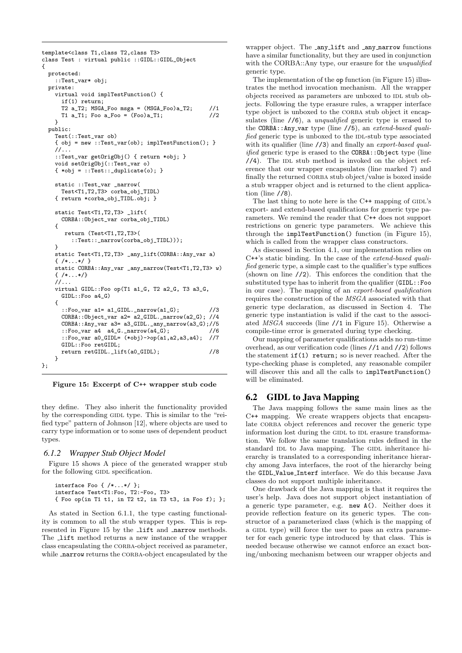```
template<class T1,class T2,class T3>
class Test : virtual public ::GIDL::GIDL_Object
{
  protected:
    ::Test_var* obj;
  private:
    virtual void implTestFunction() {
      if(1) return;
      T2 a_T2; MSGA_Foo msga = (MSGA_Foo)a_T2; //1<br>T1 a_T1; Foo a_Foo = (Foo)a_T1; //2
      T1 a_T1; Foo a_Foo = (Foo)a_T1;
    \overline{\phantom{a}}public:
    Test(::Test_var ob)
    \{ obj = new ::Test\_var(obj); implTestFunction(); \}11...::Test_var getOrigObj() { return *obj; }
    void setOrigObj(::Test_var o)
    \{ *obj = ::Test::\_dupdate(o); \}static ::Test_var _narrow(
      Test<T1,T2,T3> corba_obj_TIDL)
    { return *corba_obj_TIDL.obj; }
    static Test<T1,T2,T3> _lift(
      CORBA::Object_var corba_obj_TIDL)
    {
       return (Test<T1,T2,T3>(
          ::Test::_narrow(corba_obj_TIDL)));
    }
    static Test<T1,T2,T3> _any_lift(CORBA::Any_var a)
    \{ /*. . . * / \}static CORBA::Any_var _any_narrow(Test<T1,T2,T3> w)
    { /*...*/}
    //...
    virtual GIDL::Foo op(T1 a1_G, T2 a2_G, T3 a3_G,
      GIDL::Foo a4 G{
       ::Foo_var a1= a1_GIDL._narrow(a1_G); //3
      CORBA::Object_var a2= a2_GIDL._narrow(a2_G); //4
      CORBA::Any\_var a3= a3_GIDL._any_narrow(a3_G);//5<br>::Foo var a4 a4 G. narrow(a4 G): //6
       ::Foo_var a4 a4_G._narrow(a4_G); //6<br>::Foo var a0 GIDL= (*obi)->op(a1.a2.a3.a4); //7
       ::Foo_var a0_GIDL= (*obj)->op(a1,a2,a3,a4);
      GIDL::Foo retGIDL;
      return retGIDL._lift(a0_GIDL); //8
    }
};
```


they define. They also inherit the functionality provided by the corresponding GIDL type. This is similar to the "reified type" pattern of Johnson [12], where objects are used to carry type information or to some uses of dependent product types.

#### *6.1.2 Wrapper Stub Object Model*

Figure 15 shows A piece of the generated wrapper stub for the following GIDL specification.

```
interface Foo \{ /*...*/ };
interface Test<T1:Foo, T2:-Foo, T3>
{ Foo op(in T1 t1, in T2 t2, in T3 t3, in Foo f); };
```
As stated in Section 6.1.1, the type casting functionality is common to all the stub wrapper types. This is represented in Figure 15 by the lift and narrow methods. The lift method returns a new instance of the wrapper class encapsulating the CORBA-object received as parameter, while **narrow** returns the CORBA-object encapsulated by the

wrapper object. The any lift and any narrow functions have a similar functionality, but they are used in conjunction with the CORBA::Any type, our erasure for the unqualified generic type.

The implementation of the op function (in Figure 15) illustrates the method invocation mechanism. All the wrapper objects received as parameters are unboxed to IDL stub objects. Following the type erasure rules, a wrapper interface type object is unboxed to the CORBA stub object it encapsulates (line  $/6$ ), a *unqualified* generic type is erased to the CORBA::Any var type (line  $/5$ ), an extend-based qualified generic type is unboxed to the IDL-stub type associated with its qualifier (line  $\ell/3$ ) and finally an *export-based qualified* generic type is erased to the  $CORBA$ :: Object type (line  $1/4$ ). The IDL stub method is invoked on the object reference that our wrapper encapsulates (line marked 7) and finally the returned CORBA stub object/value is boxed inside a stub wrapper object and is returned to the client application (line //8).

The last thing to note here is the C++ mapping of GIDL's export- and extend-based qualifications for generic type parameters. We remind the reader that C++ does not support restrictions on generic type parameters. We achieve this through the implTestFunction() function (in Figure 15), which is called from the wrapper class constructors.

As discussed in Section 4.1, our implementation relies on C++'s static binding. In the case of the extend-based qualified generic type, a simple cast to the qualifier's type suffices (shown on line //2). This enforces the condition that the substituted type has to inherit from the qualifier (GIDL::Foo in our case). The mapping of an export-based qualification requires the construction of the MSGA associated with that generic type declaration, as discussed in Section 4. The generic type instantiation is valid if the cast to the associated MSGA succeeds (line //1 in Figure 15). Otherwise a compile-time error is generated during type checking.

Our mapping of parameter qualifications adds no run-time overhead, as our verification code (lines //1 and //2) follows the statement if(1) return; so is never reached. After the type-checking phase is completed, any reasonable compiler will discover this and all the calls to implTestFunction() will be eliminated.

#### 6.2 GIDL to Java Mapping

The Java mapping follows the same main lines as the C++ mapping. We create wrappers objects that encapsulate CORBA object references and recover the generic type information lost during the GIDL to IDL erasure transformation. We follow the same translation rules defined in the standard IDL to Java mapping. The GIDL inheritance hierarchy is translated to a corresponding inheritance hierarchy among Java interfaces, the root of the hierarchy being the GIDL Value Interf interface. We do this because Java classes do not support multiple inheritance.

One drawback of the Java mapping is that it requires the user's help. Java does not support object instantiation of a generic type parameter, e.g. new A(). Neither does it provide reflection feature on its generic types. The constructor of a parameterized class (which is the mapping of a GIDL type) will force the user to pass an extra parameter for each generic type introduced by that class. This is needed because otherwise we cannot enforce an exact boxing/unboxing mechanism between our wrapper objects and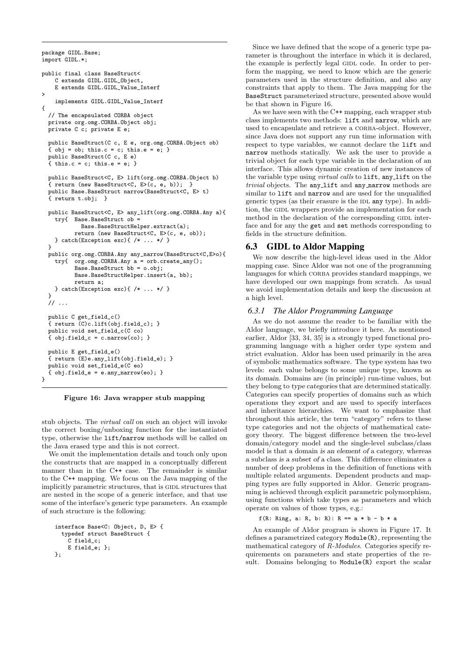```
package GIDL.Base;
import GIDL.*;
public final class BaseStruct<
    C extends GIDL.GIDL_Object,
    E extends GIDL.GIDL_Value_Interf
>
    implements GIDL.GIDL_Value_Interf
{
  // The encapsulated CORBA object
  private org.omg.CORBA.Object obj;
  private C c; private E e;
  public BaseStruct(C c, E e, org.omg.CORBA.Object ob)
  \frac{1}{2} obj = ob; this.c = c; this.e = e; }
  public BaseStruct(C c, E e)
  { this.c = c; this.e = e; }
  public BaseStruct<C, E> lift(org.omg.CORBA.Object b)
  { return (new BaseStruct<C, E>(c, e, b)); }
  public Base.BaseStruct narrow(BaseStruct<C, E> t)
  { return t.obj; }
  public BaseStruct<C, E> any_lift(org.omg.CORBA.Any a){
    try{ Base.BaseStruct ob =
            Base.BaseStructHelper.extract(a);
          return (new BaseStruct<C, E>(c, e, ob));
   } catch(Exception exc){ /* ... */ }
  }
  public org.omg.CORBA.Any any_narrow(BaseStruct<C,E>o){
    try{ org.omg.CORBA.Any a = orb.create_any();
          Base.BaseStruct bb = o.obj;Base.BaseStructHelper.insert(a, bb);
          return a;
   } catch(Exception exc){ /* ... */}
  \frac{1}{2}...
  public C get_field_c()
  { return (C)c.lift(obj.field_c); }
  public void set_field_c(C co)
  { obj.field_c = c.narrow(co); }
  public E get_field_e()
  { return (E)e.any_lift(obj.field_e); }
  public void set_field_e(C eo)
  \{ obj.field_e = e.any_narrow(eo); \}}
```
Figure 16: Java wrapper stub mapping

stub objects. The virtual call on such an object will invoke the correct boxing/unboxing function for the instantiated type, otherwise the lift/narrow methods will be called on the Java erased type and this is not correct.

We omit the implementation details and touch only upon the constructs that are mapped in a conceptually different manner than in the C++ case. The remainder is similar to the C++ mapping. We focus on the Java mapping of the implicitly parametric structures, that is GIDL structures that are nested in the scope of a generic interface, and that use some of the interface's generic type parameters. An example of such structure is the following:

```
interface Base<C: Object, D, E> {
  typedef struct BaseStruct {
    C field_c;
    E field_e; };
};
```
Since we have defined that the scope of a generic type parameter is throughout the interface in which it is declared, the example is perfectly legal GIDL code. In order to perform the mapping, we need to know which are the generic parameters used in the structure definition, and also any constraints that apply to them. The Java mapping for the BaseStruct parameterized structure, presented above would be that shown in Figure 16.

As we have seen with the C++ mapping, each wrapper stub class implements two methods: lift and narrow, which are used to encapsulate and retrieve a CORBA-object. However, since Java does not support any run time information with respect to type variables, we cannot declare the lift and narrow methods statically. We ask the user to provide a trivial object for each type variable in the declaration of an interface. This allows dynamic creation of new instances of the variable type using *virtual calls* to lift, any lift on the trivial objects. The any lift and any narrow methods are similar to lift and narrow and are used for the unqualified generic types (as their erasure is the IDL any type). In addition, the GIDL wrappers provide an implementation for each method in the declaration of the corresponding GIDL interface and for any the get and set methods corresponding to fields in the structure definition.

# 6.3 GIDL to Aldor Mapping

We now describe the high-level ideas used in the Aldor mapping case. Since Aldor was not one of the programming languages for which CORBA provides standard mappings, we have developed our own mappings from scratch. As usual we avoid implementation details and keep the discussion at a high level.

### *6.3.1 The Aldor Programming Language*

As we do not assume the reader to be familiar with the Aldor language, we briefly introduce it here. As mentioned earlier, Aldor [33, 34, 35] is a strongly typed functional programming language with a higher order type system and strict evaluation. Aldor has been used primarily in the area of symbolic mathematics software. The type system has two levels: each value belongs to some unique type, known as its domain. Domains are (in principle) run-time values, but they belong to type categories that are determined statically. Categories can specify properties of domains such as which operations they export and are used to specify interfaces and inheritance hierarchies. We want to emphasize that throughout this article, the term "category" refers to these type categories and not the objects of mathematical category theory. The biggest difference between the two-level domain/category model and the single-level subclass/class model is that a domain is an element of a category, whereas a subclass is a subset of a class. This difference eliminates a number of deep problems in the definition of functions with multiple related arguments. Dependent products and mapping types are fully supported in Aldor. Generic programming is achieved through explicit parametric polymorphism, using functions which take types as parameters and which operate on values of those types, e.g.:

 $f(R: Ring, a: R, b: R): R == a * b - b * a$ 

An example of Aldor program is shown in Figure 17. It defines a parametrized category Module(R), representing the mathematical category of R-Modules. Categories specify requirements on parameters and state properties of the result. Domains belonging to Module(R) export the scalar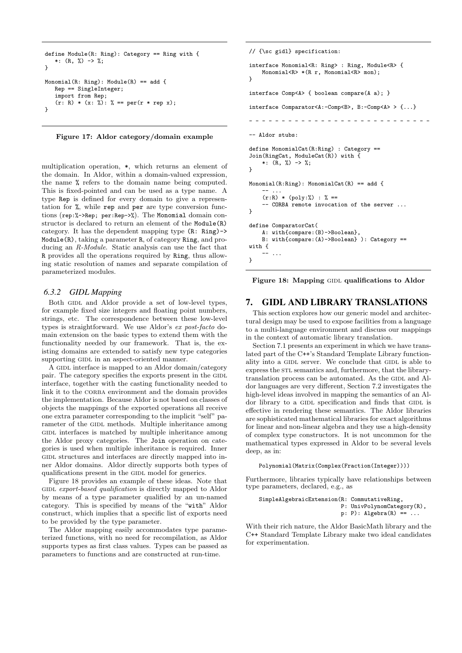```
define Module(R: Ring): Category == Ring with {
   *: (R, \frac{\%}{\%}) -> \frac{\%}{\%};
}
Monomial(R: Ring): Module(R) == add {
   Rep == SingleInteger;
   import from Rep;
   (r: R) * (x: %): % == per(r * rep x);}
```


multiplication operation, \*, which returns an element of the domain. In Aldor, within a domain-valued expression, the name % refers to the domain name being computed. This is fixed-pointed and can be used as a type name. A type Rep is defined for every domain to give a representation for %, while rep and per are type conversion functions (rep:%->Rep; per:Rep->%). The Monomial domain constructor is declared to return an element of the Module(R) category. It has the dependent mapping type (R: Ring)-> Module(R), taking a parameter R, of category Ring, and producing an R-Module. Static analysis can use the fact that R provides all the operations required by Ring, thus allowing static resolution of names and separate compilation of parameterized modules.

#### *6.3.2 GIDL Mapping*

Both GIDL and Aldor provide a set of low-level types, for example fixed size integers and floating point numbers, strings, etc. The correspondence between these low-level types is straightforward. We use Aldor's ex post-facto domain extension on the basic types to extend them with the functionality needed by our framework. That is, the existing domains are extended to satisfy new type categories supporting GIDL in an aspect-oriented manner.

A GIDL interface is mapped to an Aldor domain/category pair. The category specifies the exports present in the GIDL interface, together with the casting functionality needed to link it to the CORBA environment and the domain provides the implementation. Because Aldor is not based on classes of objects the mappings of the exported operations all receive one extra parameter corresponding to the implicit "self" parameter of the GIDL methods. Multiple inheritance among GIDL interfaces is matched by multiple inheritance among the Aldor proxy categories. The Join operation on categories is used when multiple inheritance is required. Inner gidl structures and interfaces are directly mapped into inner Aldor domains. Aldor directly supports both types of qualifications present in the GIDL model for generics.

Figure 18 provides an example of these ideas. Note that GIDL export-based qualification is directly mapped to Aldor by means of a type parameter qualified by an un-named category. This is specified by means of the "with" Aldor construct, which implies that a specific list of exports need to be provided by the type parameter.

The Aldor mapping easily accommodates type parameterized functions, with no need for recompilation, as Aldor supports types as first class values. Types can be passed as parameters to functions and are constructed at run-time.

```
// {\sc gidl} specification:
interface Monomial<R: Ring> : Ring, Module<R> {
    Monomial\langle R \rangle *(R r, Monomial\langle R \rangle mon);
}
interface Comp<A> { boolean compare(A a); }
interface Comparator<A:-Comp<B>, B:-Comp<A> > {...}
                 - - - - - - - - - - - - - - - - - - - - - - - - - - - -
-- Aldor stubs:
define MonomialCat(R:Ring): Category ==
Join(RingCat, ModuleCat(R)) with {
    *: (R, %) \rightarrow %;}
Monomial(R:Ring): MonomialCat(R) == add {
    -- ...
    (r:R) * (poly:\%) : \% ==-- CORBA remote invocation of the server ...
}
define ComparatorCat(
    A: with{compare:(B)->Boolean},
    B: with{compare:(A)->Boolean} ): Category ==
with {
    -- ...
}
```
Figure 18: Mapping GIDL qualifications to Aldor

#### 7. GIDL AND LIBRARY TRANSLATIONS

This section explores how our generic model and architectural design may be used to expose facilities from a language to a multi-language environment and discuss our mappings in the context of automatic library translation.

Section 7.1 presents an experiment in which we have translated part of the C++'s Standard Template Library functionality into a GIDL server. We conclude that GIDL is able to express the STL semantics and, furthermore, that the librarytranslation process can be automated. As the GIDL and Aldor languages are very different, Section 7.2 investigates the high-level ideas involved in mapping the semantics of an Aldor library to a GIDL specification and finds that GIDL is effective in rendering these semantics. The Aldor libraries are sophisticated mathematical libraries for exact algorithms for linear and non-linear algebra and they use a high-density of complex type constructors. It is not uncommon for the mathematical types expressed in Aldor to be several levels deep, as in:

#### Polynomial(Matrix(Complex(Fraction(Integer))))

Furthermore, libraries typically have relationships between type parameters, declared, e.g., as

SimpleAlgebraicExtension(R: CommutativeRing, P: UnivPolynomCategory(R),  $p: P)$ : Algebra $(R) == ...$ 

With their rich nature, the Aldor BasicMath library and the C++ Standard Template Library make two ideal candidates for experimentation.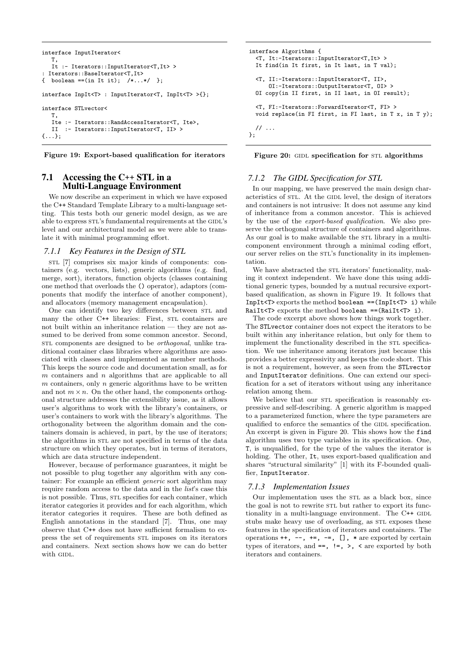```
interface InputIterator<
  T,
  It :- Iterators::InputIterator<T,It> >
 : Iterators::BaseIterator<T,It>
{ boolean ==(in It it); /*...*/ };
interface InpIt<T> : InputIterator<T, InpIt<T> >{};
interface STLvector<
  T,
  Ite :- Iterators::RandAccessIterator<T, Ite>,
  II :- Iterators::InputIterator<T, II> >
{...};
```
Figure 19: Export-based qualification for iterators

# 7.1 Accessing the C++ STL in a Multi-Language Environment

We now describe an experiment in which we have exposed the C++ Standard Template Library to a multi-language setting. This tests both our generic model design, as we are able to express STL's fundamental requirements at the GIDL's level and our architectural model as we were able to translate it with minimal programming effort.

#### *7.1.1 Key Features in the Design of STL*

stl [7] comprises six major kinds of components: containers (e.g. vectors, lists), generic algorithms (e.g. find, merge, sort), iterators, function objects (classes containing one method that overloads the () operator), adaptors (components that modify the interface of another component), and allocators (memory management encapsulation).

One can identify two key differences between STL and many the other C++ libraries: First, STL containers are not built within an inheritance relation — they are not assumed to be derived from some common ancestor. Second, stl components are designed to be *orthogonal*, unlike traditional container class libraries where algorithms are associated with classes and implemented as member methods. This keeps the source code and documentation small, as for  $m$  containers and  $n$  algorithms that are applicable to all  $m$  containers, only  $n$  generic algorithms have to be written and not  $m \times n$ . On the other hand, the components orthogonal structure addresses the extensibility issue, as it allows user's algorithms to work with the library's containers, or user's containers to work with the library's algorithms. The orthogonality between the algorithm domain and the containers domain is achieved, in part, by the use of iterators; the algorithms in STL are not specified in terms of the data structure on which they operates, but in terms of iterators, which are data structure independent.

However, because of performance guarantees, it might be not possible to plug together any algorithm with any container: For example an efficient generic sort algorithm may require random access to the data and in the *list's* case this is not possible. Thus, STL specifies for each container, which iterator categories it provides and for each algorithm, which iterator categories it requires. These are both defined as English annotations in the standard [7]. Thus, one may observe that C++ does not have sufficient formalism to express the set of requirements stl imposes on its iterators and containers. Next section shows how we can do better with GIDL.

```
interface Algorithms {
  <T, It:-Iterators::InputIterator<T,It> >
  It find(in It first, in It last, in T val);
  <T, II:-Iterators::InputIterator<T, II>,
      OI:-Iterators::OutputIterator<T, OI> >
  OI copy(in II first, in II last, in OI result);
  <T, FI:-Iterators::ForwardIterator<T, FI> >
  void replace(in FI first, in FI last, in T x, in T y);
  \frac{1}{2}...
};
```


#### *7.1.2 The GIDL Specification for STL*

In our mapping, we have preserved the main design characteristics of STL. At the GIDL level, the design of iterators and containers is not intrusive: It does not assume any kind of inheritance from a common ancestor. This is achieved by the use of the export-based qualification. We also preserve the orthogonal structure of containers and algorithms. As our goal is to make available the STL library in a multicomponent environment through a minimal coding effort, our server relies on the STL's functionality in its implementation.

We have abstracted the STL iterators' functionality, making it context independent. We have done this using additional generic types, bounded by a mutual recursive exportbased qualification, as shown in Figure 19. It follows that InpIt<T> exports the method boolean  $==(Input **T**)$  while RaiIt<T> exports the method boolean ==(RaiIt<T> i).

The code excerpt above shows how things work together. The STLvector container does not expect the iterators to be built within any inheritance relation, but only for them to implement the functionality described in the STL specification. We use inheritance among iterators just because this provides a better expressivity and keeps the code short. This is not a requirement, however, as seen from the STLvector and InputIterator definitions. One can extend our specification for a set of iterators without using any inheritance relation among them.

We believe that our STL specification is reasonably expressive and self-describing. A generic algorithm is mapped to a parameterized function, where the type parameters are qualified to enforce the semantics of the GIDL specification. An excerpt is given in Figure 20. This shows how the find algorithm uses two type variables in its specification. One, T, is unqualified, for the type of the values the iterator is holding. The other, It, uses export-based qualification and shares "structural similarity" [1] with its F-bounded qualifier, InputIterator.

#### *7.1.3 Implementation Issues*

Our implementation uses the STL as a black box, since the goal is not to rewrite STL but rather to export its functionality in a multi-language environment. The  $C++$  GIDL stubs make heavy use of overloading, as STL exposes these features in the specification of iterators and containers. The operations  $++$ ,  $--$ ,  $+=$ ,  $-=$ ,  $[$ ],  $*$  are exported by certain types of iterators, and  $==, !=, >, <$  are exported by both iterators and containers.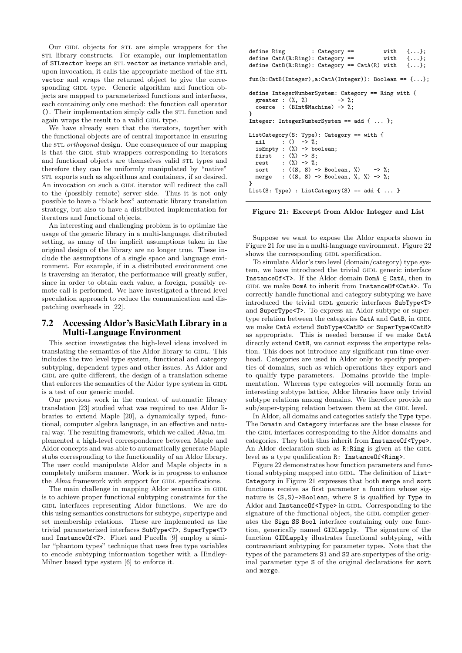Our GIDL objects for STL are simple wrappers for the stl library constructs. For example, our implementation of STLvector keeps an STL vector as instance variable and, upon invocation, it calls the appropriate method of the STL vector and wraps the returned object to give the corresponding GIDL type. Generic algorithm and function objects are mapped to parameterized functions and interfaces, each containing only one method: the function call operator (). Their implementation simply calls the  $STL$  function and again wraps the result to a valid GIDL type.

We have already seen that the iterators, together with the functional objects are of central importance in ensuring the STL *orthogonal* design. One consequence of our mapping is that the GIDL stub wrappers corresponding to iterators and functional objects are themselves valid STL types and therefore they can be uniformly manipulated by "native" STL exports such as algorithms and containers, if so desired. An invocation on such a GIDL iterator will redirect the call to the (possibly remote) server side. Thus it is not only possible to have a "black box" automatic library translation strategy, but also to have a distributed implementation for iterators and functional objects.

An interesting and challenging problem is to optimize the usage of the generic library in a multi-language, distributed setting, as many of the implicit assumptions taken in the original design of the library are no longer true. These include the assumptions of a single space and language environment. For example, if in a distributed environment one is traversing an iterator, the performance will greatly suffer, since in order to obtain each value, a foreign, possibly remote call is performed. We have investigated a thread level speculation approach to reduce the communication and dispatching overheads in [22].

# 7.2 Accessing Aldor's BasicMath Library in a Multi-Language Environment

This section investigates the high-level ideas involved in translating the semantics of the Aldor library to GIDL. This includes the two level type system, functional and category subtyping, dependent types and other issues. As Aldor and GIDL are quite different, the design of a translation scheme that enforces the semantics of the Aldor type system in GIDL is a test of our generic model.

Our previous work in the context of automatic library translation [23] studied what was required to use Aldor libraries to extend Maple [20], a dynamically typed, functional, computer algebra language, in an effective and natural way. The resulting framework, which we called Alma, implemented a high-level correspondence between Maple and Aldor concepts and was able to automatically generate Maple stubs corresponding to the functionality of an Aldor library. The user could manipulate Aldor and Maple objects in a completely uniform manner. Work is in progress to enhance the  $Alma$  framework with support for GIDL specifications.

The main challenge in mapping Aldor semantics in GIDL is to achieve proper functional subtyping constraints for the gidl interfaces representing Aldor functions. We are do this using semantics constructors for subtype, supertype and set membership relations. These are implemented as the trivial parameterized interfaces SubType<T>, SuperType<T> and InstanceOf<T>. Fluet and Pucella [9] employ a similar "phantom types" technique that uses free type variables to encode subtyping information together with a Hindley-Milner based type system [6] to enforce it.

```
define Ring : Category == with {...};
define \text{CatA}(R:Ring): \text{Categovy} == with \{... \};
define CatB(R:Ring): Category == CatA(R) with \{... \};
fun(b:CatB(Integer),a:CatA(Integer)): Boolean == {...};
define IntegerNumberSystem: Category == Ring with {
  greater : \binom{9}{6}, \binom{9}{2} -> \binom{9}{2};
  coerce : (BInt$Machine) -> %;
}
Integer: IntegerNumberSystem == add { ... };
ListCategory(S: Type): Category == with {<br>nil : () -> %:
  nil : () \rightarrow %;<br>isEmpty : (%) \rightarrow bo
  isEmpty : \binom{9}{6} -> boolean;<br>first : \binom{9}{6} -> S;
               (\%) \rightarrow S;rest : (\%) \rightarrow \%;<br>sort : ((S, S) -((S, S) \rightarrow Boolean, %merge : ((S, S) \rightarrow \text{Boolean}, \%, \%) \rightarrow \%;}
List(S: Type) : ListCategory(S) == add { ... }
```
Figure 21: Excerpt from Aldor Integer and List

Suppose we want to expose the Aldor exports shown in Figure 21 for use in a multi-language environment. Figure 22 shows the corresponding GIDL specification.

To simulate Aldor's two level (domain/category) type system, we have introduced the trivial GIDL generic interface InstanceOf<T>. If the Aldor domain DomA  $\in$  CatA, then in GIDL we make DomA to inherit from InstanceOf<CatA>. To correctly handle functional and category subtyping we have introduced the trivial GIDL generic interfaces SubType<T> and SuperType<T>. To express an Aldor subtype or supertype relation between the categories CatA and CatB, in GIDL we make CatA extend SubType<CatB> or SuperType<CatB> as appropriate. This is needed because if we make CatA directly extend CatB, we cannot express the supertype relation. This does not introduce any significant run-time overhead. Categories are used in Aldor only to specify properties of domains, such as which operations they export and to qualify type parameters. Domains provide the implementation. Whereas type categories will normally form an interesting subtype lattice, Aldor libraries have only trivial subtype relations among domains. We therefore provide no sub/super-typing relation between them at the GIDL level.

In Aldor, all domains and categories satisfy the Type type. The Domain and Category interfaces are the base classes for the GIDL interfaces corresponding to the Aldor domains and categories. They both thus inherit from InstanceOf<Type>. An Aldor declaration such as  $R: Ring$  is given at the GIDL level as a type qualification R: InstanceOf<Ring>.

Figure 22 demonstrates how function parameters and functional subtyping mapped into GIDL. The definition of List-Category in Figure 21 expresses that both merge and sort functions receive as first parameter a function whose signature is (S,S)->Boolean, where S is qualified by Type in Aldor and InstanceOf<Type> in GIDL. Corresponding to the signature of the functional object, the GIDL compiler generates the Sign SS Bool interface containing only one function, generically named GIDLapply. The signature of the function GIDLapply illustrates functional subtyping, with contravariant subtyping for parameter types. Note that the types of the parameters S1 and S2 are supertypes of the original parameter type S of the original declarations for sort and merge.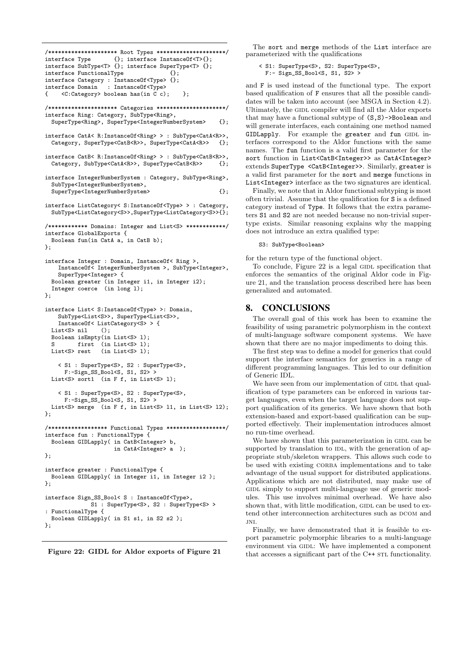```
/********************* Root Types *********************/
                    \{\}; interface InstanceOf<T>{};
interface SubType<T> \{f\}; interface SuperType<T> \{f\};<br>interface FunctionalType \{f\};
interface FunctionalType
interface Category : InstanceOf<Type> {};<br>interface Domain : InstanceOf<Type>
                   : InstanceOf<Type>
{ <C:Category> boolean has(in C c); };
/********************* Categories *********************/
interface Ring: Category, SubType<Ring>,
  SuperType<Ring>, SuperType<IntegerNumberSystem> {};
interface CatA< R:InstanceOf<Ring> > : SubType<CatA<R>>,
  Category, SuperType<CatB<R>>> {};
interface CatB< R:InstanceOf<Ring> > : SubType<CatB<R>>,
  Category, SubType<CatA<R>>, SuperType<CatB<R>> {};
interface IntegerNumberSystem : Category, SubType<Ring>,
  SubType<IntegerNumberSystem>,
  SuperType<IntegerNumberSystem> {};
interface ListCategory< S:InstanceOf<Type> > : Category,
  SubType<ListCategory<S>>,SuperType<ListCategory<S>>{};
/************ Domains: Integer and List<S> ************/
interface GlobalExports {
  Boolean fun(in CatA a, in CatB b);
};
interface Integer : Domain, InstanceOf< Ring >,
    InstanceOf< IntegerNumberSystem >, SubType<Integer>,
    SuperType<Integer> {
  Boolean greater (in Integer i1, in Integer i2);
  Integer coerce (in long l);
};
interface List< S:InstanceOf<Type> >: Domain,
    SubType<List<S>>, SuperType<List<S>>,
    InstanceOf< ListCategory<S> > {
  List<S> nil ();
  Boolean isEmpty(in List<S> l);
  S first (in List<S> 1);
  List<S> rest (in List<S> 1);
    < S1 : SuperType<S>, S2 : SuperType<S>,
      F:-Sign_SS_Bool<S, S1, S2> >
  List<S> sort1 (in F f, in List<S> 1);
    < S1 : SuperType<S>, S2 : SuperType<S>,
     F:-Sign_SS_Bool<S, S1, S2> >
  List<S> merge (in F f, in List<S> 11, in List<S> 12);
};
/****************** Functional Types ******************/
interface fun : FunctionalType {
  Boolean GIDLapply( in CatB<Integer> b,
                     in CatA<Integer> a );
};
interface greater : FunctionalType {
  Boolean GIDLapply( in Integer i1, in Integer i2 );
};
interface Sign_SS_Bool< S : InstanceOf<Type>,
              S1 : SuperType<S>, S2 : SuperType<S> >
: FunctionalType {
  Boolean GIDLapply( in S1 s1, in S2 s2 );
};
```
Figure 22: GIDL for Aldor exports of Figure 21

The sort and merge methods of the List interface are parameterized with the qualifications

```
< S1: SuperType<S>, S2: SuperType<S>,
 F:- Sign_SS_Bool<S, S1, S2> >
```
and F is used instead of the functional type. The export based qualification of F ensures that all the possible candidates will be taken into account (see MSGA in Section 4.2). Ultimately, the GIDL compiler will find all the Aldor exports that may have a functional subtype of (S,S)->Boolean and will generate interfaces, each containing one method named GIDLapply. For example the greater and fun GIDL interfaces correspond to the Aldor functions with the same names. The fun function is a valid first parameter for the sort function in List<CatB<Integer>> as CatA<Integer> extends SuperType <CatB<Integer>>. Similarly, greater is a valid first parameter for the sort and merge functions in List<Integer> interface as the two signatures are identical.

Finally, we note that in Aldor functional subtyping is most often trivial. Assume that the qualification for S is a defined category instead of Type. It follows that the extra parameters S1 and S2 are not needed because no non-trivial supertype exists. Similar reasoning explains why the mapping does not introduce an extra qualified type:

S3: SubType<Boolean>

for the return type of the functional object.

To conclude, Figure 22 is a legal GIDL specification that enforces the semantics of the original Aldor code in Figure 21, and the translation process described here has been generalized and automated.

#### 8. CONCLUSIONS

The overall goal of this work has been to examine the feasibility of using parametric polymorphism in the context of multi-language software component systems. We have shown that there are no major impediments to doing this.

The first step was to define a model for generics that could support the interface semantics for generics in a range of different programming languages. This led to our definition of Generic IDL.

We have seen from our implementation of GIDL that qualification of type parameters can be enforced in various target languages, even when the target language does not support qualification of its generics. We have shown that both extension-based and export-based qualification can be supported effectively. Their implementation introduces almost no run-time overhead.

We have shown that this parameterization in GIDL can be supported by translation to IDL, with the generation of appropriate stub/skeleton wrappers. This allows such code to be used with existing CORBA implementations and to take advantage of the usual support for distributed applications. Applications which are not distributed, may make use of GIDL simply to support multi-language use of generic modules. This use involves minimal overhead. We have also shown that, with little modification, GIDL can be used to extend other interconnection architectures such as DCOM and jni.

Finally, we have demonstrated that it is feasible to export parametric polymorphic libraries to a multi-language environment via GIDL: We have implemented a component that accesses a significant part of the C++ STL functionality.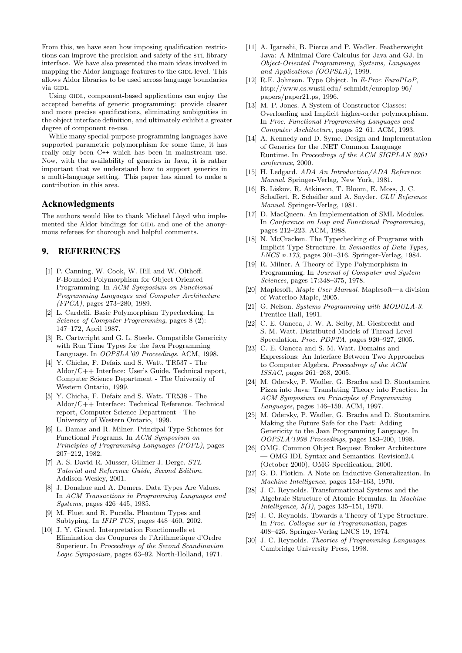From this, we have seen how imposing qualification restrictions can improve the precision and safety of the STL library interface. We have also presented the main ideas involved in mapping the Aldor language features to the GIDL level. This allows Aldor libraries to be used across language boundaries via GIDL.

Using GIDL, component-based applications can enjoy the accepted benefits of generic programming: provide clearer and more precise specifications, eliminating ambiguities in the object interface definition, and ultimately exhibit a greater degree of component re-use.

While many special-purpose programming languages have supported parametric polymorphism for some time, it has really only been C++ which has been in mainstream use. Now, with the availability of generics in Java, it is rather important that we understand how to support generics in a multi-language setting. This paper has aimed to make a contribution in this area.

#### Acknowledgments

The authors would like to thank Michael Lloyd who implemented the Aldor bindings for GIDL and one of the anonymous referees for thorough and helpful comments.

# 9. REFERENCES

- [1] P. Canning, W. Cook, W. Hill and W. Olthoff. F-Bounded Polymorphism for Object Oriented Programming. In ACM Symposium on Functional Programming Languages and Computer Architecture (FPCA), pages 273–280, 1989.
- [2] L. Cardelli. Basic Polymorphism Typechecking. In Science of Computer Programming, pages 8 (2): 147–172, April 1987.
- [3] R. Cartwright and G. L. Steele. Compatible Genericity with Run Time Types for the Java Programming Language. In OOPSLA'00 Proceedings. ACM, 1998.
- [4] Y. Chicha, F. Defaix and S. Watt. TR537 The Aldor/C++ Interface: User's Guide. Technical report, Computer Science Department - The University of Western Ontario, 1999.
- [5] Y. Chicha, F. Defaix and S. Watt. TR538 The Aldor/C++ Interface: Technical Reference. Technical report, Computer Science Department - The University of Western Ontario, 1999.
- [6] L. Damas and R. Milner. Principal Type-Schemes for Functional Programs. In ACM Symposium on Principles of Programming Languages (POPL), pages 207–212, 1982.
- [7] A. S. David R. Musser, Gillmer J. Derge. STL Tutorial and Reference Guide, Second Edition. Addison-Wesley, 2001.
- [8] J. Donahue and A. Demers. Data Types Are Values. In ACM Transactions in Programming Languages and Systems, pages 426–445, 1985.
- [9] M. Fluet and R. Pucella. Phantom Types and Subtyping. In IFIP TCS, pages 448–460, 2002.
- [10] J. Y. Girard. Interpretation Fonctionnelle et Elimination des Coupures de l'Arithmetique d'Ordre Superieur. In Proceedings of the Second Scandinavian Logic Symposium, pages 63–92. North-Holland, 1971.
- [11] A. Igarashi, B. Pierce and P. Wadler. Featherweight Java: A Minimal Core Calculus for Java and GJ. In Object-Oriented Programming, Systems, Languages and Applications (OOPSLA), 1999.
- [12] R.E. Johnson. Type Object. In E-Proc EuroPLoP, http://www.cs.wustl.edu/ schmidt/europlop-96/ papers/paper21.ps, 1996.
- [13] M. P. Jones. A System of Constructor Classes: Overloading and Implicit higher-order polymorphism. In Proc. Functional Programming Languages and Computer Architecture, pages 52–61. ACM, 1993.
- [14] A. Kennedy and D. Syme. Design and Implementation of Generics for the .NET Common Language Runtime. In Proceedings of the ACM SIGPLAN 2001 conference, 2000.
- [15] H. Ledgard. ADA An Introduction/ADA Reference Manual. Springer-Verlag, New York, 1981.
- [16] B. Liskov, R. Atkinson, T. Bloom, E. Moss, J. C. Schaffert, R. Scheifler and A. Snyder. CLU Reference Manual. Springer-Verlag, 1981.
- [17] D. MacQueen. An Implementation of SML Modules. In Conference on Lisp and Functional Programming, pages 212–223. ACM, 1988.
- [18] N. McCracken. The Typechecking of Programs with Implicit Type Structure. In Semantics of Data Types, LNCS n.173, pages 301–316. Springer-Verlag, 1984.
- [19] R. Milner. A Theory of Type Polymorphism in Programming. In Journal of Computer and System Sciences, pages 17:348–375, 1978.
- [20] Maplesoft, Maple User Manual. Maplesoft—a division of Waterloo Maple, 2005.
- [21] G. Nelson. Systems Programming with MODULA-3. Prentice Hall, 1991.
- [22] C. E. Oancea, J. W. A. Selby, M. Giesbrecht and S. M. Watt. Distributed Models of Thread-Level Speculation. Proc. PDPTA, pages 920–927, 2005.
- [23] C. E. Oancea and S. M. Watt. Domains and Expressions: An Interface Between Two Approaches to Computer Algebra. Proceedings of the ACM ISSAC, pages 261–268, 2005.
- [24] M. Odersky, P. Wadler, G. Bracha and D. Stoutamire. Pizza into Java: Translating Theory into Practice. In ACM Symposium on Principles of Programming Languages, pages 146–159. ACM, 1997.
- [25] M. Odersky, P. Wadler, G. Bracha and D. Stoutamire. Making the Future Safe for the Past: Adding Genericity to the Java Programming Language. In OOPSLA'1998 Proceedings, pages 183–200, 1998.
- [26] OMG. Common Object Request Broker Architecture — OMG IDL Syntax and Semantics. Revision2.4 (October 2000), OMG Specification, 2000.
- [27] G. D. Plotkin. A Note on Inductive Generalization. In Machine Intelligence, pages 153–163, 1970.
- [28] J. C. Reynolds. Transformational Systems and the Algebraic Structure of Atomic Formulas. In Machine Intelligence, 5(1), pages 135–151, 1970.
- [29] J. C. Reynolds. Towards a Theory of Type Structure. In Proc. Colloque sur la Programmation, pages 408–425. Springer-Verlag LNCS 19, 1974.
- [30] J. C. Reynolds. Theories of Programming Languages. Cambridge University Press, 1998.